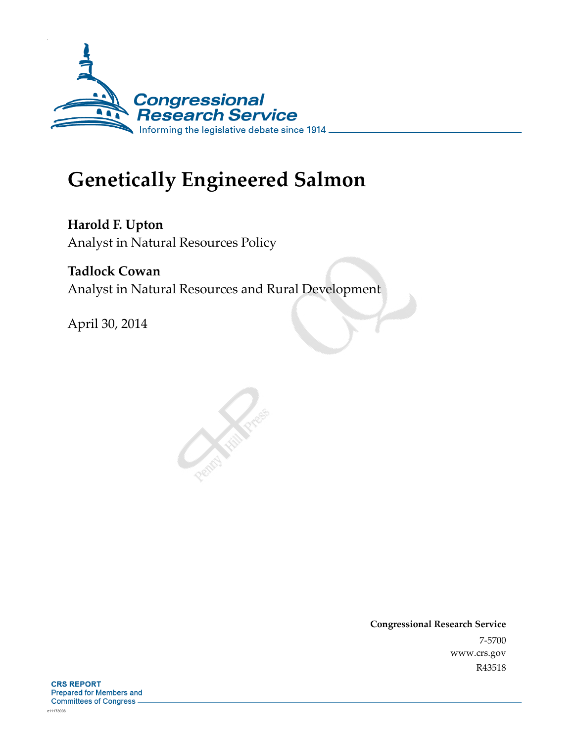

# **Genetically Engineered Salmon**

**Harold F. Upton**  Analyst in Natural Resources Policy

**Tadlock Cowan**  Analyst in Natural Resources and Rural Development

April 30, 2014

**Chapter** 

**Congressional Research Service**  7-5700 www.crs.gov R43518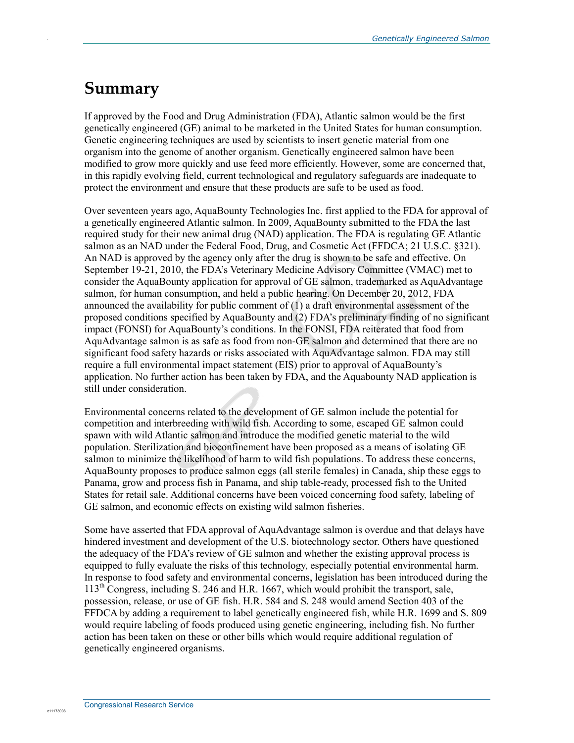## **Summary**

.

If approved by the Food and Drug Administration (FDA), Atlantic salmon would be the first genetically engineered (GE) animal to be marketed in the United States for human consumption. Genetic engineering techniques are used by scientists to insert genetic material from one organism into the genome of another organism. Genetically engineered salmon have been modified to grow more quickly and use feed more efficiently. However, some are concerned that, in this rapidly evolving field, current technological and regulatory safeguards are inadequate to protect the environment and ensure that these products are safe to be used as food.

Over seventeen years ago, AquaBounty Technologies Inc. first applied to the FDA for approval of a genetically engineered Atlantic salmon. In 2009, AquaBounty submitted to the FDA the last required study for their new animal drug (NAD) application. The FDA is regulating GE Atlantic salmon as an NAD under the Federal Food, Drug, and Cosmetic Act (FFDCA; 21 U.S.C. §321). An NAD is approved by the agency only after the drug is shown to be safe and effective. On September 19-21, 2010, the FDA's Veterinary Medicine Advisory Committee (VMAC) met to consider the AquaBounty application for approval of GE salmon, trademarked as AquAdvantage salmon, for human consumption, and held a public hearing. On December 20, 2012, FDA announced the availability for public comment of (1) a draft environmental assessment of the proposed conditions specified by AquaBounty and (2) FDA's preliminary finding of no significant impact (FONSI) for AquaBounty's conditions. In the FONSI, FDA reiterated that food from AquAdvantage salmon is as safe as food from non-GE salmon and determined that there are no significant food safety hazards or risks associated with AquAdvantage salmon. FDA may still require a full environmental impact statement (EIS) prior to approval of AquaBounty's application. No further action has been taken by FDA, and the Aquabounty NAD application is still under consideration.

Environmental concerns related to the development of GE salmon include the potential for competition and interbreeding with wild fish. According to some, escaped GE salmon could spawn with wild Atlantic salmon and introduce the modified genetic material to the wild population. Sterilization and bioconfinement have been proposed as a means of isolating GE salmon to minimize the likelihood of harm to wild fish populations. To address these concerns, AquaBounty proposes to produce salmon eggs (all sterile females) in Canada, ship these eggs to Panama, grow and process fish in Panama, and ship table-ready, processed fish to the United States for retail sale. Additional concerns have been voiced concerning food safety, labeling of GE salmon, and economic effects on existing wild salmon fisheries.

Some have asserted that FDA approval of AquAdvantage salmon is overdue and that delays have hindered investment and development of the U.S. biotechnology sector. Others have questioned the adequacy of the FDA's review of GE salmon and whether the existing approval process is equipped to fully evaluate the risks of this technology, especially potential environmental harm. In response to food safety and environmental concerns, legislation has been introduced during the 113<sup>th</sup> Congress, including S. 246 and H.R. 1667, which would prohibit the transport, sale, possession, release, or use of GE fish. H.R. 584 and S. 248 would amend Section 403 of the FFDCA by adding a requirement to label genetically engineered fish, while H.R. 1699 and S. 809 would require labeling of foods produced using genetic engineering, including fish. No further action has been taken on these or other bills which would require additional regulation of genetically engineered organisms.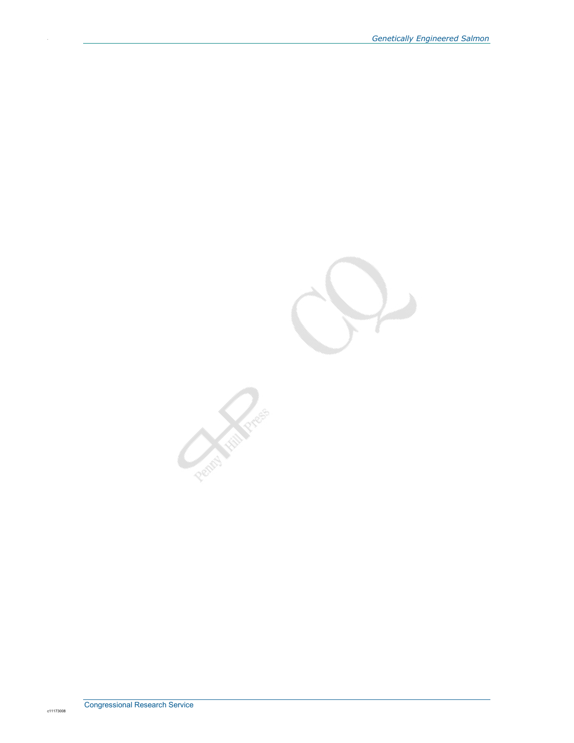$\begin{smallmatrix} \searrow \end{smallmatrix}$ **Company Report**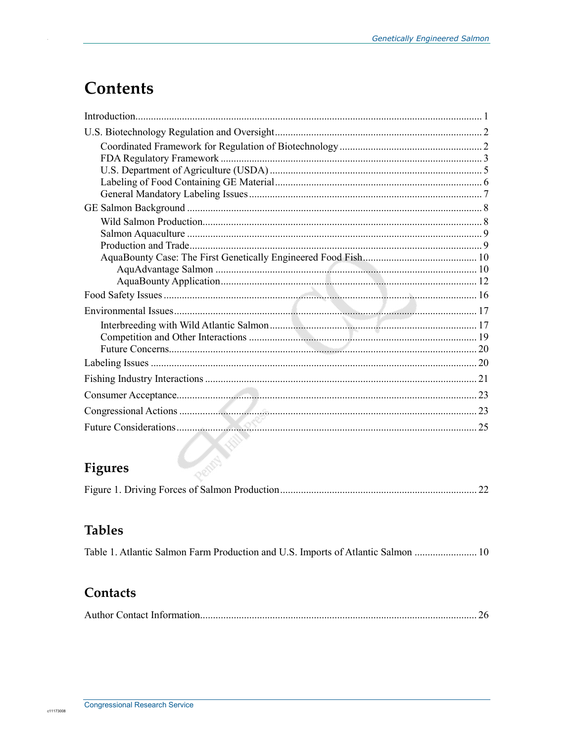## **Contents**

| 23 |
|----|
| 23 |
|    |

## Figures

|--|--|

## **Tables**

| Table 1. Atlantic Salmon Farm Production and U.S. Imports of Atlantic Salmon  10 |  |
|----------------------------------------------------------------------------------|--|
|----------------------------------------------------------------------------------|--|

### Contacts

|--|--|--|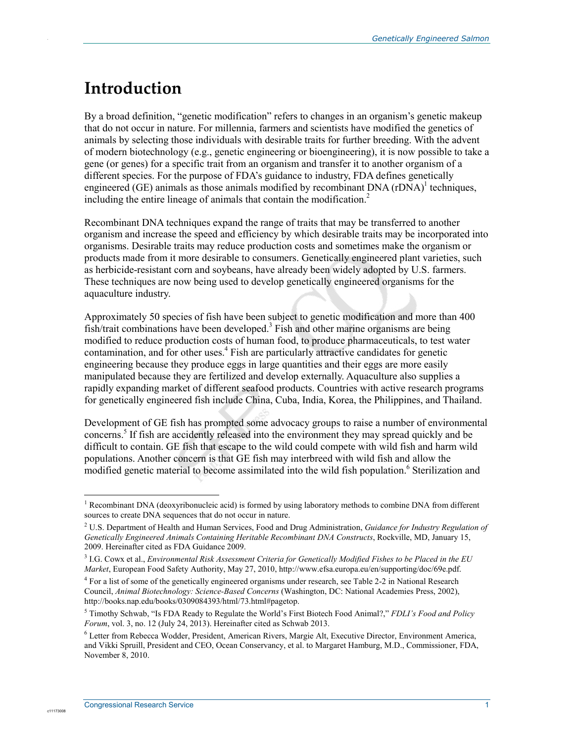## **Introduction**

.

By a broad definition, "genetic modification" refers to changes in an organism's genetic makeup that do not occur in nature. For millennia, farmers and scientists have modified the genetics of animals by selecting those individuals with desirable traits for further breeding. With the advent of modern biotechnology (e.g., genetic engineering or bioengineering), it is now possible to take a gene (or genes) for a specific trait from an organism and transfer it to another organism of a different species. For the purpose of FDA's guidance to industry, FDA defines genetically engineered (GE) animals as those animals modified by recombinant  $DNA (rDNA)^{1}$  techniques, including the entire lineage of animals that contain the modification.<sup>2</sup>

Recombinant DNA techniques expand the range of traits that may be transferred to another organism and increase the speed and efficiency by which desirable traits may be incorporated into organisms. Desirable traits may reduce production costs and sometimes make the organism or products made from it more desirable to consumers. Genetically engineered plant varieties, such as herbicide-resistant corn and soybeans, have already been widely adopted by U.S. farmers. These techniques are now being used to develop genetically engineered organisms for the aquaculture industry.

Approximately 50 species of fish have been subject to genetic modification and more than 400  $fish/trait$  combinations have been developed.<sup>3</sup> Fish and other marine organisms are being modified to reduce production costs of human food, to produce pharmaceuticals, to test water contamination, and for other uses.<sup>4</sup> Fish are particularly attractive candidates for genetic engineering because they produce eggs in large quantities and their eggs are more easily manipulated because they are fertilized and develop externally. Aquaculture also supplies a rapidly expanding market of different seafood products. Countries with active research programs for genetically engineered fish include China, Cuba, India, Korea, the Philippines, and Thailand.

Development of GE fish has prompted some advocacy groups to raise a number of environmental concerns.<sup>5</sup> If fish are accidently released into the environment they may spread quickly and be difficult to contain. GE fish that escape to the wild could compete with wild fish and harm wild populations. Another concern is that GE fish may interbreed with wild fish and allow the modified genetic material to become assimilated into the wild fish population.<sup>6</sup> Sterilization and

1

<sup>&</sup>lt;sup>1</sup> Recombinant DNA (deoxyribonucleic acid) is formed by using laboratory methods to combine DNA from different sources to create DNA sequences that do not occur in nature.

<sup>2</sup> U.S. Department of Health and Human Services, Food and Drug Administration, *Guidance for Industry Regulation of Genetically Engineered Animals Containing Heritable Recombinant DNA Constructs*, Rockville, MD, January 15, 2009. Hereinafter cited as FDA Guidance 2009.

<sup>3</sup> I.G. Cowx et al., *Environmental Risk Assessment Criteria for Genetically Modified Fishes to be Placed in the EU Market*, European Food Safety Authority, May 27, 2010, http://www.efsa.europa.eu/en/supporting/doc/69e.pdf.

<sup>&</sup>lt;sup>4</sup> For a list of some of the genetically engineered organisms under research, see Table 2-2 in National Research Council, *Animal Biotechnology: Science-Based Concerns* (Washington, DC: National Academies Press, 2002), http://books.nap.edu/books/0309084393/html/73.html#pagetop.

<sup>5</sup> Timothy Schwab, "Is FDA Ready to Regulate the World's First Biotech Food Animal?," *FDLI's Food and Policy Forum*, vol. 3, no. 12 (July 24, 2013). Hereinafter cited as Schwab 2013.

<sup>6</sup> Letter from Rebecca Wodder, President, American Rivers, Margie Alt, Executive Director, Environment America, and Vikki Spruill, President and CEO, Ocean Conservancy, et al. to Margaret Hamburg, M.D., Commissioner, FDA, November 8, 2010.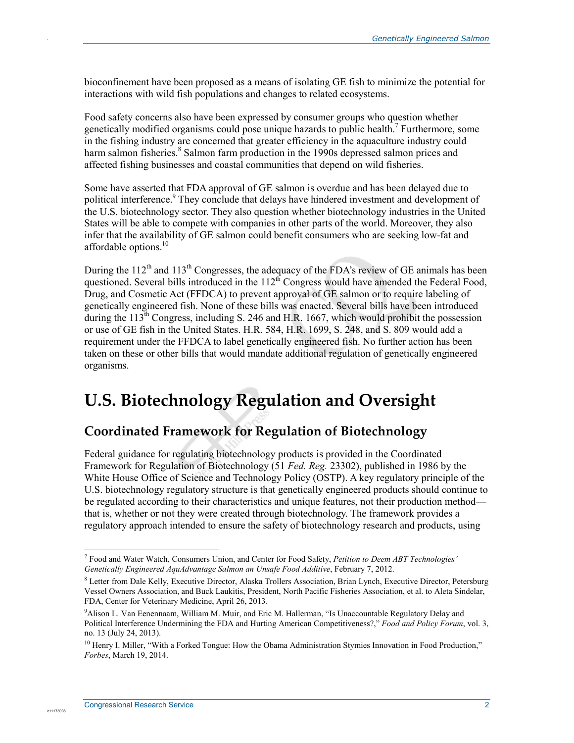bioconfinement have been proposed as a means of isolating GE fish to minimize the potential for interactions with wild fish populations and changes to related ecosystems.

Food safety concerns also have been expressed by consumer groups who question whether genetically modified organisms could pose unique hazards to public health.<sup>7</sup> Furthermore, some in the fishing industry are concerned that greater efficiency in the aquaculture industry could harm salmon fisheries.<sup>8</sup> Salmon farm production in the 1990s depressed salmon prices and affected fishing businesses and coastal communities that depend on wild fisheries.

Some have asserted that FDA approval of GE salmon is overdue and has been delayed due to political interference.<sup>9</sup> They conclude that delays have hindered investment and development of the U.S. biotechnology sector. They also question whether biotechnology industries in the United States will be able to compete with companies in other parts of the world. Moreover, they also infer that the availability of GE salmon could benefit consumers who are seeking low-fat and affordable options.<sup>10</sup>

During the  $112<sup>th</sup>$  and  $113<sup>th</sup>$  Congresses, the adequacy of the FDA's review of GE animals has been questioned. Several bills introduced in the  $112<sup>th</sup>$  Congress would have amended the Federal Food, Drug, and Cosmetic Act (FFDCA) to prevent approval of GE salmon or to require labeling of genetically engineered fish. None of these bills was enacted. Several bills have been introduced during the  $113<sup>th</sup>$  Congress, including S. 246 and H.R. 1667, which would prohibit the possession or use of GE fish in the United States. H.R. 584, H.R. 1699, S. 248, and S. 809 would add a requirement under the FFDCA to label genetically engineered fish. No further action has been taken on these or other bills that would mandate additional regulation of genetically engineered organisms.

## **U.S. Biotechnology Regulation and Oversight**

### **Coordinated Framework for Regulation of Biotechnology**

Federal guidance for regulating biotechnology products is provided in the Coordinated Framework for Regulation of Biotechnology (51 *Fed. Reg.* 23302), published in 1986 by the White House Office of Science and Technology Policy (OSTP). A key regulatory principle of the U.S. biotechnology regulatory structure is that genetically engineered products should continue to be regulated according to their characteristics and unique features, not their production method that is, whether or not they were created through biotechnology. The framework provides a regulatory approach intended to ensure the safety of biotechnology research and products, using

1

c1117300

<sup>7</sup> Food and Water Watch, Consumers Union, and Center for Food Safety, *Petition to Deem ABT Technologies' Genetically Engineered AquAdvantage Salmon an Unsafe Food Additive*, February 7, 2012.

<sup>&</sup>lt;sup>8</sup> Letter from Dale Kelly, Executive Director, Alaska Trollers Association, Brian Lynch, Executive Director, Petersburg Vessel Owners Association, and Buck Laukitis, President, North Pacific Fisheries Association, et al. to Aleta Sindelar, FDA, Center for Veterinary Medicine, April 26, 2013.

<sup>&</sup>lt;sup>9</sup> Alison L. Van Eenennaam, William M. Muir, and Eric M. Hallerman, "Is Unaccountable Regulatory Delay and Political Interference Undermining the FDA and Hurting American Competitiveness?," *Food and Policy Forum*, vol. 3, no. 13 (July 24, 2013).

<sup>&</sup>lt;sup>10</sup> Henry I. Miller, "With a Forked Tongue: How the Obama Administration Stymies Innovation in Food Production," *Forbes*, March 19, 2014.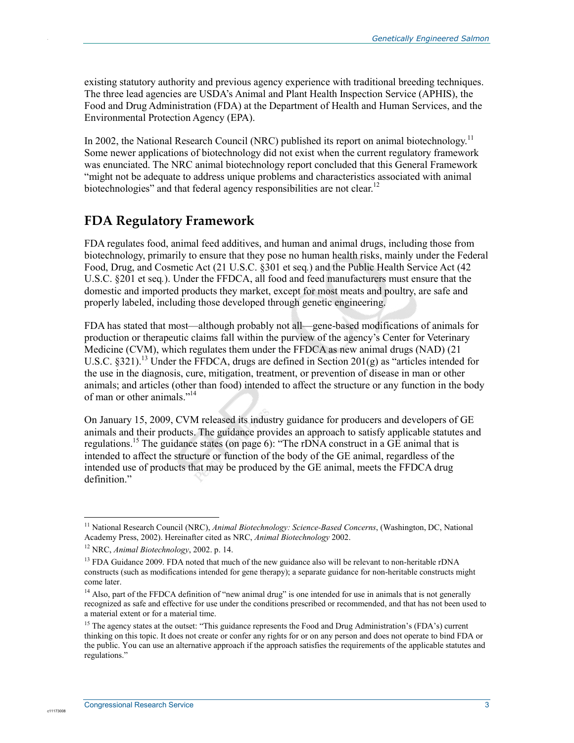existing statutory authority and previous agency experience with traditional breeding techniques. The three lead agencies are USDA's Animal and Plant Health Inspection Service (APHIS), the Food and Drug Administration (FDA) at the Department of Health and Human Services, and the Environmental Protection Agency (EPA).

In 2002, the National Research Council (NRC) published its report on animal biotechnology.<sup>11</sup> Some newer applications of biotechnology did not exist when the current regulatory framework was enunciated. The NRC animal biotechnology report concluded that this General Framework "might not be adequate to address unique problems and characteristics associated with animal biotechnologies" and that federal agency responsibilities are not clear.<sup>12</sup>

### **FDA Regulatory Framework**

FDA regulates food, animal feed additives, and human and animal drugs, including those from biotechnology, primarily to ensure that they pose no human health risks, mainly under the Federal Food, Drug, and Cosmetic Act (21 U.S.C. §301 et seq*.*) and the Public Health Service Act (42 U.S.C. §201 et seq*.*). Under the FFDCA, all food and feed manufacturers must ensure that the domestic and imported products they market, except for most meats and poultry, are safe and properly labeled, including those developed through genetic engineering.

FDA has stated that most—although probably not all—gene-based modifications of animals for production or therapeutic claims fall within the purview of the agency's Center for Veterinary Medicine (CVM), which regulates them under the FFDCA as new animal drugs (NAD) (21 U.S.C.  $\S 321$ ).<sup>13</sup> Under the FFDCA, drugs are defined in Section 201(g) as "articles intended for the use in the diagnosis, cure, mitigation, treatment, or prevention of disease in man or other animals; and articles (other than food) intended to affect the structure or any function in the body of man or other animals."14

On January 15, 2009, CVM released its industry guidance for producers and developers of GE animals and their products. The guidance provides an approach to satisfy applicable statutes and regulations.<sup>15</sup> The guidance states (on page 6): "The rDNA construct in a GE animal that is intended to affect the structure or function of the body of the GE animal, regardless of the intended use of products that may be produced by the GE animal, meets the FFDCA drug definition."

<u>.</u>

c1117300

<sup>11</sup> National Research Council (NRC), *Animal Biotechnology: Science-Based Concerns*, (Washington, DC, National Academy Press, 2002). Hereinafter cited as NRC, *Animal Biotechnology* 2002.

<sup>12</sup> NRC, *Animal Biotechnology*, 2002. p. 14.

<sup>&</sup>lt;sup>13</sup> FDA Guidance 2009. FDA noted that much of the new guidance also will be relevant to non-heritable rDNA constructs (such as modifications intended for gene therapy); a separate guidance for non-heritable constructs might come later.

<sup>&</sup>lt;sup>14</sup> Also, part of the FFDCA definition of "new animal drug" is one intended for use in animals that is not generally recognized as safe and effective for use under the conditions prescribed or recommended, and that has not been used to a material extent or for a material time.

<sup>&</sup>lt;sup>15</sup> The agency states at the outset: "This guidance represents the Food and Drug Administration's (FDA's) current thinking on this topic. It does not create or confer any rights for or on any person and does not operate to bind FDA or the public. You can use an alternative approach if the approach satisfies the requirements of the applicable statutes and regulations."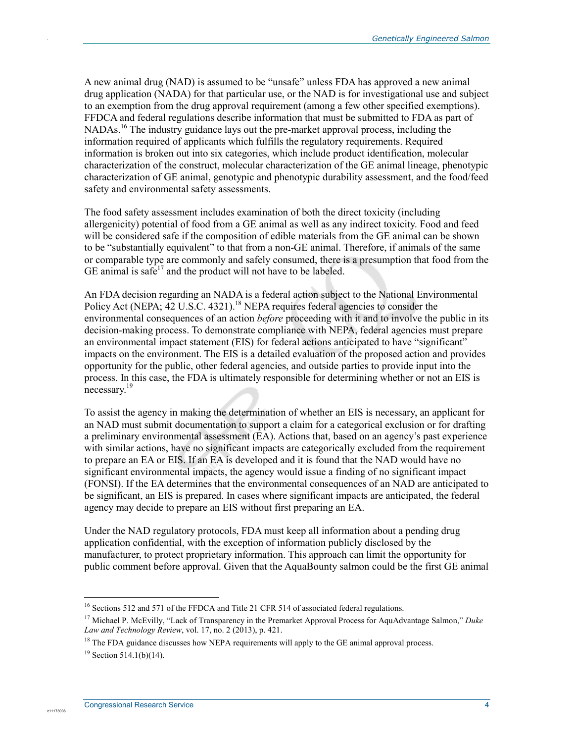A new animal drug (NAD) is assumed to be "unsafe" unless FDA has approved a new animal drug application (NADA) for that particular use, or the NAD is for investigational use and subject to an exemption from the drug approval requirement (among a few other specified exemptions). FFDCA and federal regulations describe information that must be submitted to FDA as part of NADAs.<sup>16</sup> The industry guidance lays out the pre-market approval process, including the information required of applicants which fulfills the regulatory requirements. Required information is broken out into six categories, which include product identification, molecular characterization of the construct, molecular characterization of the GE animal lineage, phenotypic characterization of GE animal, genotypic and phenotypic durability assessment, and the food/feed safety and environmental safety assessments.

The food safety assessment includes examination of both the direct toxicity (including allergenicity) potential of food from a GE animal as well as any indirect toxicity. Food and feed will be considered safe if the composition of edible materials from the GE animal can be shown to be "substantially equivalent" to that from a non-GE animal. Therefore, if animals of the same or comparable type are commonly and safely consumed, there is a presumption that food from the GE animal is safe<sup>17</sup> and the product will not have to be labeled.

An FDA decision regarding an NADA is a federal action subject to the National Environmental Policy Act (NEPA;  $42 \text{ U.S.C. } 4321$ ).<sup>18</sup> NEPA requires federal agencies to consider the environmental consequences of an action *before* proceeding with it and to involve the public in its decision-making process. To demonstrate compliance with NEPA, federal agencies must prepare an environmental impact statement (EIS) for federal actions anticipated to have "significant" impacts on the environment. The EIS is a detailed evaluation of the proposed action and provides opportunity for the public, other federal agencies, and outside parties to provide input into the process. In this case, the FDA is ultimately responsible for determining whether or not an EIS is necessary.<sup>19</sup>

To assist the agency in making the determination of whether an EIS is necessary, an applicant for an NAD must submit documentation to support a claim for a categorical exclusion or for drafting a preliminary environmental assessment (EA). Actions that, based on an agency's past experience with similar actions, have no significant impacts are categorically excluded from the requirement to prepare an EA or EIS. If an EA is developed and it is found that the NAD would have no significant environmental impacts, the agency would issue a finding of no significant impact (FONSI). If the EA determines that the environmental consequences of an NAD are anticipated to be significant, an EIS is prepared. In cases where significant impacts are anticipated, the federal agency may decide to prepare an EIS without first preparing an EA.

Under the NAD regulatory protocols, FDA must keep all information about a pending drug application confidential, with the exception of information publicly disclosed by the manufacturer, to protect proprietary information. This approach can limit the opportunity for public comment before approval. Given that the AquaBounty salmon could be the first GE animal

1

c11173008

<sup>&</sup>lt;sup>16</sup> Sections 512 and 571 of the FFDCA and Title 21 CFR 514 of associated federal regulations.

<sup>17</sup> Michael P. McEvilly, "Lack of Transparency in the Premarket Approval Process for AquAdvantage Salmon," *Duke Law and Technology Review*, vol. 17, no. 2 (2013), p. 421.

 $18$  The FDA guidance discusses how NEPA requirements will apply to the GE animal approval process.

 $19$  Section 514.1(b)(14).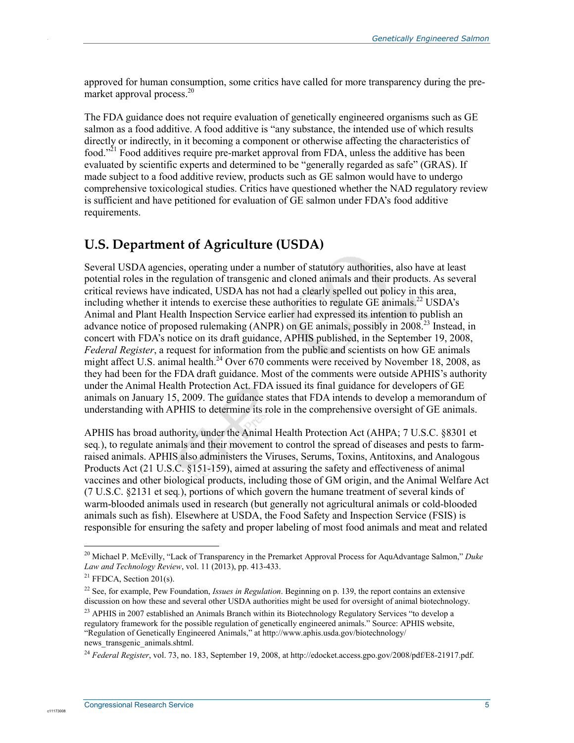approved for human consumption, some critics have called for more transparency during the premarket approval process.20

The FDA guidance does not require evaluation of genetically engineered organisms such as GE salmon as a food additive. A food additive is "any substance, the intended use of which results directly or indirectly, in it becoming a component or otherwise affecting the characteristics of food."<sup>21</sup> Food additives require pre-market approval from FDA, unless the additive has been evaluated by scientific experts and determined to be "generally regarded as safe" (GRAS). If made subject to a food additive review, products such as GE salmon would have to undergo comprehensive toxicological studies. Critics have questioned whether the NAD regulatory review is sufficient and have petitioned for evaluation of GE salmon under FDA's food additive requirements.

### **U.S. Department of Agriculture (USDA)**

Several USDA agencies, operating under a number of statutory authorities, also have at least potential roles in the regulation of transgenic and cloned animals and their products. As several critical reviews have indicated, USDA has not had a clearly spelled out policy in this area, including whether it intends to exercise these authorities to regulate  $GE$  animals.<sup>22</sup> USDA's Animal and Plant Health Inspection Service earlier had expressed its intention to publish an advance notice of proposed rulemaking (ANPR) on GE animals, possibly in 2008.<sup>23</sup> Instead, in concert with FDA's notice on its draft guidance, APHIS published, in the September 19, 2008, *Federal Register*, a request for information from the public and scientists on how GE animals might affect U.S. animal health.<sup>24</sup> Over 670 comments were received by November 18, 2008, as they had been for the FDA draft guidance. Most of the comments were outside APHIS's authority under the Animal Health Protection Act. FDA issued its final guidance for developers of GE animals on January 15, 2009. The guidance states that FDA intends to develop a memorandum of understanding with APHIS to determine its role in the comprehensive oversight of GE animals.

APHIS has broad authority, under the Animal Health Protection Act (AHPA; 7 U.S.C. §8301 et seq*.*), to regulate animals and their movement to control the spread of diseases and pests to farmraised animals. APHIS also administers the Viruses, Serums, Toxins, Antitoxins, and Analogous Products Act (21 U.S.C. §151-159), aimed at assuring the safety and effectiveness of animal vaccines and other biological products, including those of GM origin, and the Animal Welfare Act (7 U.S.C. §2131 et seq*.*), portions of which govern the humane treatment of several kinds of warm-blooded animals used in research (but generally not agricultural animals or cold-blooded animals such as fish). Elsewhere at USDA, the Food Safety and Inspection Service (FSIS) is responsible for ensuring the safety and proper labeling of most food animals and meat and related

1

c1117300

<sup>20</sup> Michael P. McEvilly, "Lack of Transparency in the Premarket Approval Process for AquAdvantage Salmon," *Duke Law and Technology Review*, vol. 11 (2013), pp. 413-433.

 $21$  FFDCA, Section 201(s).

<sup>22</sup> See, for example, Pew Foundation, *Issues in Regulation*. Beginning on p. 139, the report contains an extensive discussion on how these and several other USDA authorities might be used for oversight of animal biotechnology.

 $^{23}$  APHIS in 2007 established an Animals Branch within its Biotechnology Regulatory Services "to develop a regulatory framework for the possible regulation of genetically engineered animals." Source: APHIS website, "Regulation of Genetically Engineered Animals," at http://www.aphis.usda.gov/biotechnology/ news\_transgenic\_animals.shtml.

<sup>24</sup> *Federal Register*, vol. 73, no. 183, September 19, 2008, at http://edocket.access.gpo.gov/2008/pdf/E8-21917.pdf.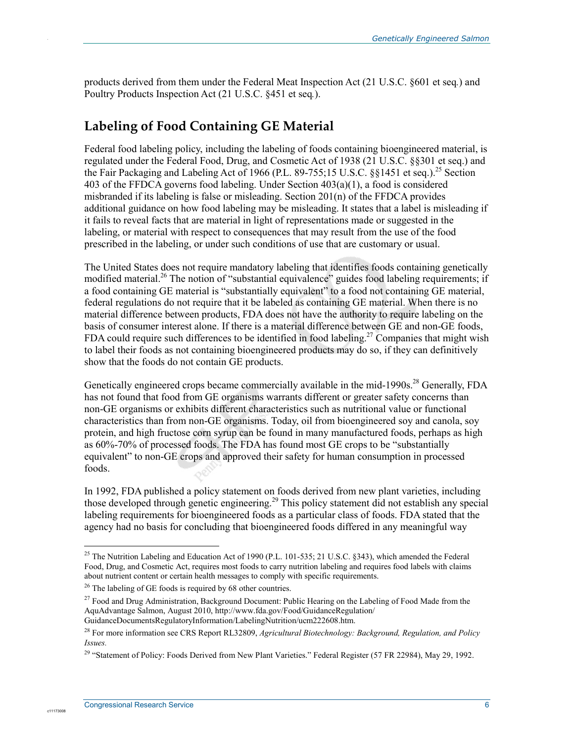products derived from them under the Federal Meat Inspection Act (21 U.S.C. §601 et seq*.*) and Poultry Products Inspection Act (21 U.S.C. §451 et seq*.*).

### **Labeling of Food Containing GE Material**

Federal food labeling policy, including the labeling of foods containing bioengineered material, is regulated under the Federal Food, Drug, and Cosmetic Act of 1938 (21 U.S.C. §§301 et seq.) and the Fair Packaging and Labeling Act of 1966 (P.L. 89-755;15 U.S.C.  $881451$  et seq.).<sup>25</sup> Section 403 of the FFDCA governs food labeling. Under Section  $403(a)(1)$ , a food is considered misbranded if its labeling is false or misleading. Section 201(n) of the FFDCA provides additional guidance on how food labeling may be misleading. It states that a label is misleading if it fails to reveal facts that are material in light of representations made or suggested in the labeling, or material with respect to consequences that may result from the use of the food prescribed in the labeling, or under such conditions of use that are customary or usual.

The United States does not require mandatory labeling that identifies foods containing genetically modified material.<sup>26</sup> The notion of "substantial equivalence" guides food labeling requirements; if a food containing GE material is "substantially equivalent" to a food not containing GE material, federal regulations do not require that it be labeled as containing GE material. When there is no material difference between products, FDA does not have the authority to require labeling on the basis of consumer interest alone. If there is a material difference between GE and non-GE foods, FDA could require such differences to be identified in food labeling.<sup>27</sup> Companies that might wish to label their foods as not containing bioengineered products may do so, if they can definitively show that the foods do not contain GE products.

Genetically engineered crops became commercially available in the mid-1990s.<sup>28</sup> Generally, FDA has not found that food from GE organisms warrants different or greater safety concerns than non-GE organisms or exhibits different characteristics such as nutritional value or functional characteristics than from non-GE organisms. Today, oil from bioengineered soy and canola, soy protein, and high fructose corn syrup can be found in many manufactured foods, perhaps as high as 60%-70% of processed foods. The FDA has found most GE crops to be "substantially equivalent" to non-GE crops and approved their safety for human consumption in processed foods.

In 1992, FDA published a policy statement on foods derived from new plant varieties, including those developed through genetic engineering.<sup>29</sup> This policy statement did not establish any special labeling requirements for bioengineered foods as a particular class of foods. FDA stated that the agency had no basis for concluding that bioengineered foods differed in any meaningful way

1

c1117300

<sup>&</sup>lt;sup>25</sup> The Nutrition Labeling and Education Act of 1990 (P.L. 101-535; 21 U.S.C. §343), which amended the Federal Food, Drug, and Cosmetic Act, requires most foods to carry nutrition labeling and requires food labels with claims about nutrient content or certain health messages to comply with specific requirements.

 $26$  The labeling of GE foods is required by 68 other countries.

<sup>&</sup>lt;sup>27</sup> Food and Drug Administration, Background Document: Public Hearing on the Labeling of Food Made from the AquAdvantage Salmon, August 2010, http://www.fda.gov/Food/GuidanceRegulation/ GuidanceDocumentsRegulatoryInformation/LabelingNutrition/ucm222608.htm.

<sup>28</sup> For more information see CRS Report RL32809, *Agricultural Biotechnology: Background, Regulation, and Policy Issues.* 

<sup>&</sup>lt;sup>29</sup> "Statement of Policy: Foods Derived from New Plant Varieties." Federal Register (57 FR 22984), May 29, 1992.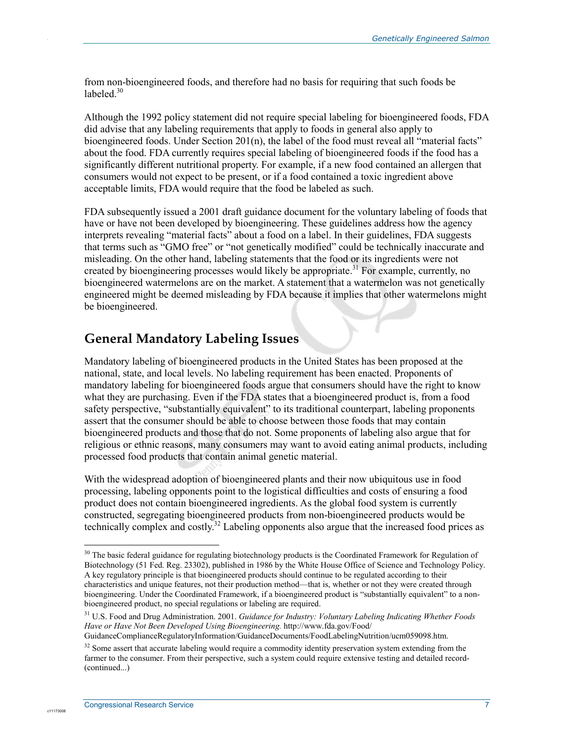from non-bioengineered foods, and therefore had no basis for requiring that such foods be labeled.<sup>30</sup>

Although the 1992 policy statement did not require special labeling for bioengineered foods, FDA did advise that any labeling requirements that apply to foods in general also apply to bioengineered foods. Under Section  $201(n)$ , the label of the food must reveal all "material facts" about the food. FDA currently requires special labeling of bioengineered foods if the food has a significantly different nutritional property. For example, if a new food contained an allergen that consumers would not expect to be present, or if a food contained a toxic ingredient above acceptable limits, FDA would require that the food be labeled as such.

FDA subsequently issued a 2001 draft guidance document for the voluntary labeling of foods that have or have not been developed by bioengineering. These guidelines address how the agency interprets revealing "material facts" about a food on a label. In their guidelines, FDA suggests that terms such as "GMO free" or "not genetically modified" could be technically inaccurate and misleading. On the other hand, labeling statements that the food or its ingredients were not created by bioengineering processes would likely be appropriate.<sup>31</sup> For example, currently, no bioengineered watermelons are on the market. A statement that a watermelon was not genetically engineered might be deemed misleading by FDA because it implies that other watermelons might be bioengineered.

### **General Mandatory Labeling Issues**

Mandatory labeling of bioengineered products in the United States has been proposed at the national, state, and local levels. No labeling requirement has been enacted. Proponents of mandatory labeling for bioengineered foods argue that consumers should have the right to know what they are purchasing. Even if the FDA states that a bioengineered product is, from a food safety perspective, "substantially equivalent" to its traditional counterpart, labeling proponents assert that the consumer should be able to choose between those foods that may contain bioengineered products and those that do not. Some proponents of labeling also argue that for religious or ethnic reasons, many consumers may want to avoid eating animal products, including processed food products that contain animal genetic material.

With the widespread adoption of bioengineered plants and their now ubiquitous use in food processing, labeling opponents point to the logistical difficulties and costs of ensuring a food product does not contain bioengineered ingredients. As the global food system is currently constructed, segregating bioengineered products from non-bioengineered products would be technically complex and costly.32 Labeling opponents also argue that the increased food prices as

<u>.</u>

c1117300

 $30$  The basic federal guidance for regulating biotechnology products is the Coordinated Framework for Regulation of Biotechnology (51 Fed. Reg. 23302), published in 1986 by the White House Office of Science and Technology Policy. A key regulatory principle is that bioengineered products should continue to be regulated according to their characteristics and unique features, not their production method—that is, whether or not they were created through bioengineering. Under the Coordinated Framework, if a bioengineered product is "substantially equivalent" to a nonbioengineered product, no special regulations or labeling are required.

<sup>31</sup> U.S. Food and Drug Administration. 2001. *Guidance for Industry: Voluntary Labeling Indicating Whether Foods Have or Have Not Been Developed Using Bioengineering.* http://www.fda.gov/Food/

GuidanceComplianceRegulatoryInformation/GuidanceDocuments/FoodLabelingNutrition/ucm059098.htm.

<sup>&</sup>lt;sup>32</sup> Some assert that accurate labeling would require a commodity identity preservation system extending from the farmer to the consumer. From their perspective, such a system could require extensive testing and detailed record- (continued...)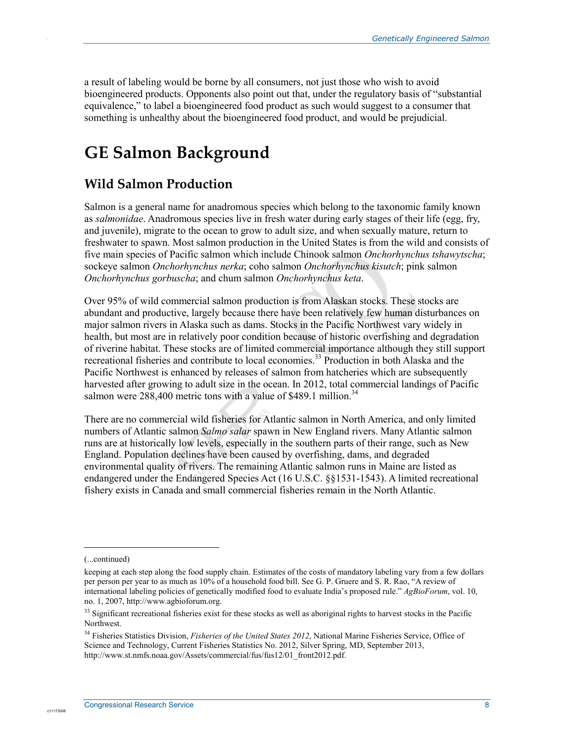a result of labeling would be borne by all consumers, not just those who wish to avoid bioengineered products. Opponents also point out that, under the regulatory basis of "substantial equivalence," to label a bioengineered food product as such would suggest to a consumer that something is unhealthy about the bioengineered food product, and would be prejudicial.

## **GE Salmon Background**

### **Wild Salmon Production**

Salmon is a general name for anadromous species which belong to the taxonomic family known as *salmonidae*. Anadromous species live in fresh water during early stages of their life (egg, fry, and juvenile), migrate to the ocean to grow to adult size, and when sexually mature, return to freshwater to spawn. Most salmon production in the United States is from the wild and consists of five main species of Pacific salmon which include Chinook salmon *Onchorhynchus tshawytscha*; sockeye salmon *Onchorhynchus nerka*; coho salmon *Onchorhynchus kisutch*; pink salmon *Onchorhynchus gorbuscha*; and chum salmon *Onchorhynchus keta*.

Over 95% of wild commercial salmon production is from Alaskan stocks. These stocks are abundant and productive, largely because there have been relatively few human disturbances on major salmon rivers in Alaska such as dams. Stocks in the Pacific Northwest vary widely in health, but most are in relatively poor condition because of historic overfishing and degradation of riverine habitat. These stocks are of limited commercial importance although they still support recreational fisheries and contribute to local economies.<sup>33</sup> Production in both Alaska and the Pacific Northwest is enhanced by releases of salmon from hatcheries which are subsequently harvested after growing to adult size in the ocean. In 2012, total commercial landings of Pacific salmon were  $288,400$  metric tons with a value of \$489.1 million.<sup>34</sup>

There are no commercial wild fisheries for Atlantic salmon in North America, and only limited numbers of Atlantic salmon *Salmo salar* spawn in New England rivers. Many Atlantic salmon runs are at historically low levels, especially in the southern parts of their range, such as New England. Population declines have been caused by overfishing, dams, and degraded environmental quality of rivers. The remaining Atlantic salmon runs in Maine are listed as endangered under the Endangered Species Act (16 U.S.C. §§1531-1543). A limited recreational fishery exists in Canada and small commercial fisheries remain in the North Atlantic.

1

c1117300

<sup>(...</sup>continued)

keeping at each step along the food supply chain. Estimates of the costs of mandatory labeling vary from a few dollars per person per year to as much as 10% of a household food bill. See G. P. Gruere and S. R. Rao, "A review of international labeling policies of genetically modified food to evaluate India's proposed rule." *AgBioForum*, vol. 10, no. 1, 2007, http://www.agbioforum.org.

<sup>&</sup>lt;sup>33</sup> Significant recreational fisheries exist for these stocks as well as aboriginal rights to harvest stocks in the Pacific Northwest.

<sup>&</sup>lt;sup>34</sup> Fisheries Statistics Division, *Fisheries of the United States 2012*, National Marine Fisheries Service, Office of Science and Technology, Current Fisheries Statistics No. 2012, Silver Spring, MD, September 2013, http://www.st.nmfs.noaa.gov/Assets/commercial/fus/fus12/01\_front2012.pdf.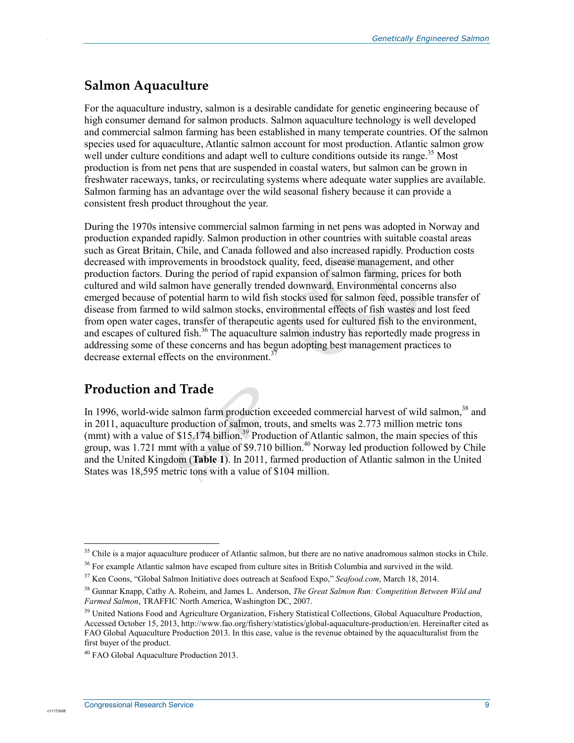### **Salmon Aquaculture**

.

For the aquaculture industry, salmon is a desirable candidate for genetic engineering because of high consumer demand for salmon products. Salmon aquaculture technology is well developed and commercial salmon farming has been established in many temperate countries. Of the salmon species used for aquaculture, Atlantic salmon account for most production. Atlantic salmon grow well under culture conditions and adapt well to culture conditions outside its range.<sup>35</sup> Most production is from net pens that are suspended in coastal waters, but salmon can be grown in freshwater raceways, tanks, or recirculating systems where adequate water supplies are available. Salmon farming has an advantage over the wild seasonal fishery because it can provide a consistent fresh product throughout the year.

During the 1970s intensive commercial salmon farming in net pens was adopted in Norway and production expanded rapidly. Salmon production in other countries with suitable coastal areas such as Great Britain, Chile, and Canada followed and also increased rapidly. Production costs decreased with improvements in broodstock quality, feed, disease management, and other production factors. During the period of rapid expansion of salmon farming, prices for both cultured and wild salmon have generally trended downward. Environmental concerns also emerged because of potential harm to wild fish stocks used for salmon feed, possible transfer of disease from farmed to wild salmon stocks, environmental effects of fish wastes and lost feed from open water cages, transfer of therapeutic agents used for cultured fish to the environment, and escapes of cultured fish.<sup>36</sup> The aquaculture salmon industry has reportedly made progress in addressing some of these concerns and has begun adopting best management practices to decrease external effects on the environment.<sup>37</sup>

### **Production and Trade**

In 1996, world-wide salmon farm production exceeded commercial harvest of wild salmon, $38$  and in 2011, aquaculture production of salmon, trouts, and smelts was 2.773 million metric tons (mmt) with a value of \$15.174 billion.<sup>39</sup> Production of Atlantic salmon, the main species of this group, was 1.721 mmt with a value of \$9.710 billion.<sup>40</sup> Norway led production followed by Chile and the United Kingdom (**Table 1**). In 2011, farmed production of Atlantic salmon in the United States was 18,595 metric tons with a value of \$104 million.

1

 $35$  Chile is a major aquaculture producer of Atlantic salmon, but there are no native anadromous salmon stocks in Chile.

 $36$  For example Atlantic salmon have escaped from culture sites in British Columbia and survived in the wild.

<sup>37</sup> Ken Coons, "Global Salmon Initiative does outreach at Seafood Expo," *Seafood.com*, March 18, 2014.

<sup>38</sup> Gunnar Knapp, Cathy A. Roheim, and James L. Anderson, *The Great Salmon Run: Competition Between Wild and Farmed Salmon*, TRAFFIC North America, Washington DC, 2007.

<sup>&</sup>lt;sup>39</sup> United Nations Food and Agriculture Organization, Fishery Statistical Collections, Global Aquaculture Production, Accessed October 15, 2013, http://www.fao.org/fishery/statistics/global-aquaculture-production/en. Hereinafter cited as FAO Global Aquaculture Production 2013. In this case, value is the revenue obtained by the aquaculturalist from the first buyer of the product.

<sup>40</sup> FAO Global Aquaculture Production 2013.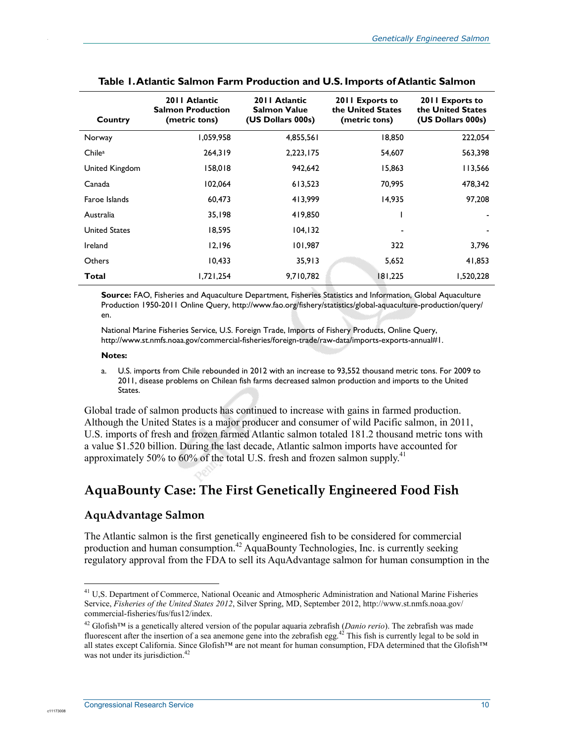| Country              | 2011 Atlantic<br><b>Salmon Production</b><br>(US Dollars 000s)<br>(metric tons) |           | 2011 Exports to<br>the United States<br>(metric tons) | 2011 Exports to<br>the United States<br>(US Dollars 000s) |  |
|----------------------|---------------------------------------------------------------------------------|-----------|-------------------------------------------------------|-----------------------------------------------------------|--|
| Norway               | 1,059,958                                                                       | 4,855,561 | 18,850                                                | 222,054                                                   |  |
| Chilea               | 264,319                                                                         | 2,223,175 | 54,607                                                | 563,398                                                   |  |
| United Kingdom       | 158,018                                                                         | 942.642   | 15,863                                                | 113,566                                                   |  |
| Canada               | 102,064                                                                         | 613,523   | 70,995                                                | 478,342                                                   |  |
| Faroe Islands        | 60,473                                                                          | 413.999   | 14,935                                                | 97,208                                                    |  |
| Australia            | 35,198                                                                          | 419.850   |                                                       |                                                           |  |
| <b>United States</b> | 18,595                                                                          | 104.132   |                                                       |                                                           |  |
| Ireland              | 12.196                                                                          | 101.987   | 322                                                   | 3.796                                                     |  |
| Others               | 10.433                                                                          | 35,913    | 5,652                                                 | 41,853                                                    |  |
| Total                | 1,721,254                                                                       | 9,710,782 | 181,225                                               | 1,520,228                                                 |  |

|  | Table 1. Atlantic Salmon Farm Production and U.S. Imports of Atlantic Salmon |  |  |
|--|------------------------------------------------------------------------------|--|--|
|  |                                                                              |  |  |

**Source:** FAO, Fisheries and Aquaculture Department, Fisheries Statistics and Information, Global Aquaculture Production 1950-2011 Online Query, http://www.fao.org/fishery/statistics/global-aquaculture-production/query/ en.

National Marine Fisheries Service, U.S. Foreign Trade, Imports of Fishery Products, Online Query, http://www.st.nmfs.noaa.gov/commercial-fisheries/foreign-trade/raw-data/imports-exports-annual#1.

#### **Notes:**

.

a. U.S. imports from Chile rebounded in 2012 with an increase to 93,552 thousand metric tons. For 2009 to 2011, disease problems on Chilean fish farms decreased salmon production and imports to the United States.

Global trade of salmon products has continued to increase with gains in farmed production. Although the United States is a major producer and consumer of wild Pacific salmon, in 2011, U.S. imports of fresh and frozen farmed Atlantic salmon totaled 181.2 thousand metric tons with a value \$1.520 billion. During the last decade, Atlantic salmon imports have accounted for approximately 50% to 60% of the total U.S. fresh and frozen salmon supply.<sup>41</sup>

### **AquaBounty Case: The First Genetically Engineered Food Fish**

#### **AquAdvantage Salmon**

1

c11173008

The Atlantic salmon is the first genetically engineered fish to be considered for commercial production and human consumption.<sup>42</sup> AquaBounty Technologies, Inc. is currently seeking regulatory approval from the FDA to sell its AquAdvantage salmon for human consumption in the

<sup>&</sup>lt;sup>41</sup> U,S. Department of Commerce, National Oceanic and Atmospheric Administration and National Marine Fisheries Service, *Fisheries of the United States 2012*, Silver Spring, MD, September 2012, http://www.st.nmfs.noaa.gov/ commercial-fisheries/fus/fus12/index.

<sup>42</sup> Glofish™ is a genetically altered version of the popular aquaria zebrafish (*Danio rerio*). The zebrafish was made fluorescent after the insertion of a sea anemone gene into the zebrafish egg.<sup>42</sup> This fish is currently legal to be sold in all states except California. Since Glofish™ are not meant for human consumption, FDA determined that the Glofish™ was not under its jurisdiction.<sup>42</sup>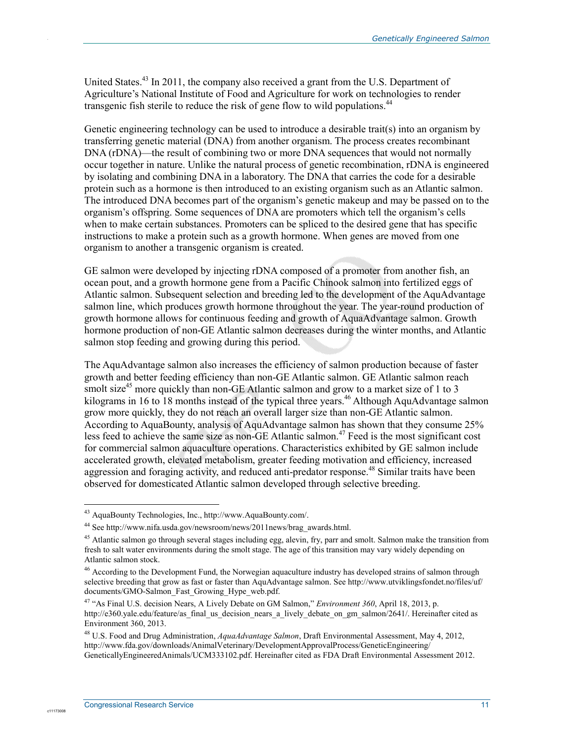United States.<sup>43</sup> In 2011, the company also received a grant from the U.S. Department of Agriculture's National Institute of Food and Agriculture for work on technologies to render transgenic fish sterile to reduce the risk of gene flow to wild populations.<sup>44</sup>

Genetic engineering technology can be used to introduce a desirable trait(s) into an organism by transferring genetic material (DNA) from another organism. The process creates recombinant DNA (rDNA)—the result of combining two or more DNA sequences that would not normally occur together in nature. Unlike the natural process of genetic recombination, rDNA is engineered by isolating and combining DNA in a laboratory. The DNA that carries the code for a desirable protein such as a hormone is then introduced to an existing organism such as an Atlantic salmon. The introduced DNA becomes part of the organism's genetic makeup and may be passed on to the organism's offspring. Some sequences of DNA are promoters which tell the organism's cells when to make certain substances. Promoters can be spliced to the desired gene that has specific instructions to make a protein such as a growth hormone. When genes are moved from one organism to another a transgenic organism is created.

GE salmon were developed by injecting rDNA composed of a promoter from another fish, an ocean pout, and a growth hormone gene from a Pacific Chinook salmon into fertilized eggs of Atlantic salmon. Subsequent selection and breeding led to the development of the AquAdvantage salmon line, which produces growth hormone throughout the year. The year-round production of growth hormone allows for continuous feeding and growth of AquaAdvantage salmon. Growth hormone production of non-GE Atlantic salmon decreases during the winter months, and Atlantic salmon stop feeding and growing during this period.

The AquAdvantage salmon also increases the efficiency of salmon production because of faster growth and better feeding efficiency than non-GE Atlantic salmon. GE Atlantic salmon reach smolt size<sup>45</sup> more quickly than non-GE Atlantic salmon and grow to a market size of 1 to 3 kilograms in 16 to 18 months instead of the typical three years.<sup>46</sup> Although AquAdvantage salmon grow more quickly, they do not reach an overall larger size than non-GE Atlantic salmon. According to AquaBounty, analysis of AquAdvantage salmon has shown that they consume 25% less feed to achieve the same size as non-GE Atlantic salmon.<sup>47</sup> Feed is the most significant cost for commercial salmon aquaculture operations. Characteristics exhibited by GE salmon include accelerated growth, elevated metabolism, greater feeding motivation and efficiency, increased aggression and foraging activity, and reduced anti-predator response.<sup>48</sup> Similar traits have been observed for domesticated Atlantic salmon developed through selective breeding.

<u>.</u>

c1117300

<sup>&</sup>lt;sup>43</sup> AquaBounty Technologies, Inc., http://www.AquaBounty.com/.

<sup>44</sup> See http://www.nifa.usda.gov/newsroom/news/2011news/brag\_awards.html.

<sup>&</sup>lt;sup>45</sup> Atlantic salmon go through several stages including egg, alevin, fry, parr and smolt. Salmon make the transition from fresh to salt water environments during the smolt stage. The age of this transition may vary widely depending on Atlantic salmon stock.

<sup>&</sup>lt;sup>46</sup> According to the Development Fund, the Norwegian aquaculture industry has developed strains of salmon through selective breeding that grow as fast or faster than AquAdvantage salmon. See http://www.utviklingsfondet.no/files/uf/ documents/GMO-Salmon Fast Growing Hype web.pdf.

<sup>47 &</sup>quot;As Final U.S. decision Nears, A Lively Debate on GM Salmon," *Environment 360*, April 18, 2013, p. http://e360.yale.edu/feature/as\_final\_us\_decision\_nears\_a\_lively\_debate\_on\_gm\_salmon/2641/. Hereinafter cited as Environment 360, 2013.

<sup>48</sup> U.S. Food and Drug Administration, *AquaAdvantage Salmon*, Draft Environmental Assessment, May 4, 2012, http://www.fda.gov/downloads/AnimalVeterinary/DevelopmentApprovalProcess/GeneticEngineering/ GeneticallyEngineeredAnimals/UCM333102.pdf. Hereinafter cited as FDA Draft Environmental Assessment 2012.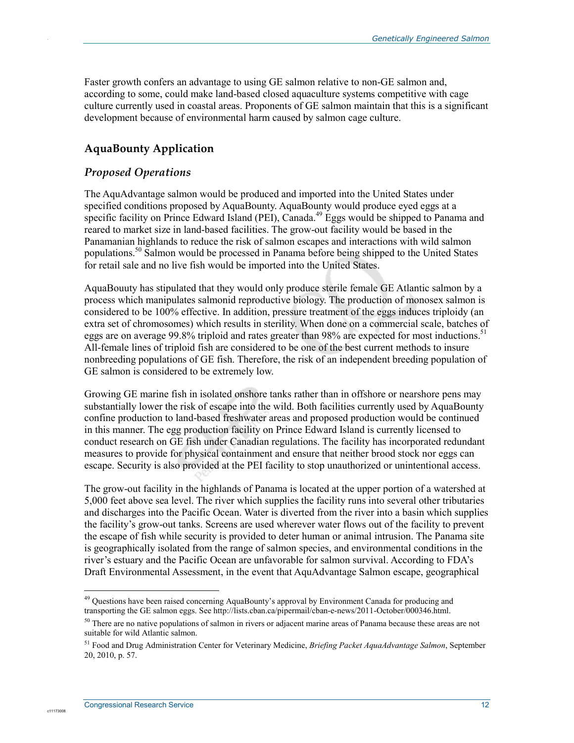Faster growth confers an advantage to using GE salmon relative to non-GE salmon and, according to some, could make land-based closed aquaculture systems competitive with cage culture currently used in coastal areas. Proponents of GE salmon maintain that this is a significant development because of environmental harm caused by salmon cage culture.

#### **AquaBounty Application**

#### *Proposed Operations*

.

The AquAdvantage salmon would be produced and imported into the United States under specified conditions proposed by AquaBounty. AquaBounty would produce eyed eggs at a specific facility on Prince Edward Island (PEI), Canada.<sup>49</sup> Eggs would be shipped to Panama and reared to market size in land-based facilities. The grow-out facility would be based in the Panamanian highlands to reduce the risk of salmon escapes and interactions with wild salmon populations.<sup>50</sup> Salmon would be processed in Panama before being shipped to the United States for retail sale and no live fish would be imported into the United States.

AquaBouuty has stipulated that they would only produce sterile female GE Atlantic salmon by a process which manipulates salmonid reproductive biology. The production of monosex salmon is considered to be 100% effective. In addition, pressure treatment of the eggs induces triploidy (an extra set of chromosomes) which results in sterility. When done on a commercial scale, batches of eggs are on average 99.8% triploid and rates greater than 98% are expected for most inductions.<sup>51</sup> All-female lines of triploid fish are considered to be one of the best current methods to insure nonbreeding populations of GE fish. Therefore, the risk of an independent breeding population of GE salmon is considered to be extremely low.

Growing GE marine fish in isolated onshore tanks rather than in offshore or nearshore pens may substantially lower the risk of escape into the wild. Both facilities currently used by AquaBounty confine production to land-based freshwater areas and proposed production would be continued in this manner. The egg production facility on Prince Edward Island is currently licensed to conduct research on GE fish under Canadian regulations. The facility has incorporated redundant measures to provide for physical containment and ensure that neither brood stock nor eggs can escape. Security is also provided at the PEI facility to stop unauthorized or unintentional access.

The grow-out facility in the highlands of Panama is located at the upper portion of a watershed at 5,000 feet above sea level. The river which supplies the facility runs into several other tributaries and discharges into the Pacific Ocean. Water is diverted from the river into a basin which supplies the facility's grow-out tanks. Screens are used wherever water flows out of the facility to prevent the escape of fish while security is provided to deter human or animal intrusion. The Panama site is geographically isolated from the range of salmon species, and environmental conditions in the river's estuary and the Pacific Ocean are unfavorable for salmon survival. According to FDA's Draft Environmental Assessment, in the event that AquAdvantage Salmon escape, geographical

1

<sup>&</sup>lt;sup>49</sup> Questions have been raised concerning AquaBounty's approval by Environment Canada for producing and transporting the GE salmon eggs. See http://lists.cban.ca/pipermail/cban-e-news/2011-October/000346.html.

 $50$  There are no native populations of salmon in rivers or adjacent marine areas of Panama because these areas are not suitable for wild Atlantic salmon.

<sup>51</sup> Food and Drug Administration Center for Veterinary Medicine, *Briefing Packet AquaAdvantage Salmon*, September 20, 2010, p. 57.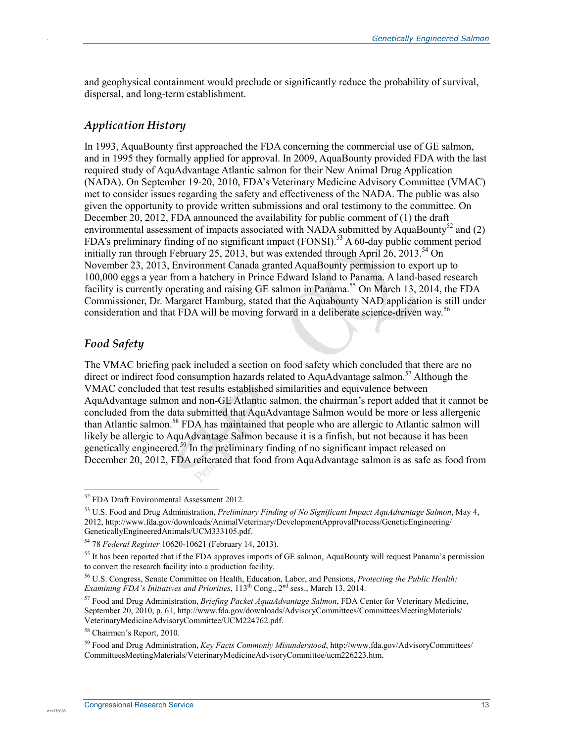and geophysical containment would preclude or significantly reduce the probability of survival, dispersal, and long-term establishment.

#### *Application History*

.

In 1993, AquaBounty first approached the FDA concerning the commercial use of GE salmon, and in 1995 they formally applied for approval. In 2009, AquaBounty provided FDA with the last required study of AquAdvantage Atlantic salmon for their New Animal Drug Application (NADA). On September 19-20, 2010, FDA's Veterinary Medicine Advisory Committee (VMAC) met to consider issues regarding the safety and effectiveness of the NADA. The public was also given the opportunity to provide written submissions and oral testimony to the committee. On December 20, 2012, FDA announced the availability for public comment of (1) the draft environmental assessment of impacts associated with NADA submitted by AquaBounty<sup>52</sup> and (2) FDA's preliminary finding of no significant impact (FONSI).<sup>53</sup> A 60-day public comment period initially ran through February 25, 2013, but was extended through April 26, 2013.<sup>54</sup> On November 23, 2013, Environment Canada granted AquaBounty permission to export up to 100,000 eggs a year from a hatchery in Prince Edward Island to Panama. A land-based research facility is currently operating and raising GE salmon in Panama.<sup>55</sup> On March 13, 2014, the FDA Commissioner, Dr. Margaret Hamburg, stated that the Aquabounty NAD application is still under consideration and that FDA will be moving forward in a deliberate science-driven way.<sup>56</sup>

#### *Food Safety*

 $\overline{a}$ 

c1117300

The VMAC briefing pack included a section on food safety which concluded that there are no direct or indirect food consumption hazards related to AquAdvantage salmon.<sup>57</sup> Although the VMAC concluded that test results established similarities and equivalence between AquAdvantage salmon and non-GE Atlantic salmon, the chairman's report added that it cannot be concluded from the data submitted that AquAdvantage Salmon would be more or less allergenic than Atlantic salmon.<sup>58</sup> FDA has maintained that people who are allergic to Atlantic salmon will likely be allergic to AquAdvantage Salmon because it is a finfish, but not because it has been genetically engineered.<sup>59</sup> In the preliminary finding of no significant impact released on December 20, 2012, FDA reiterated that food from AquAdvantage salmon is as safe as food from

 $52$  FDA Draft Environmental Assessment 2012.

<sup>53</sup> U.S. Food and Drug Administration, *Preliminary Finding of No Significant Impact AquAdvantage Salmon*, May 4, 2012, http://www.fda.gov/downloads/AnimalVeterinary/DevelopmentApprovalProcess/GeneticEngineering/ GeneticallyEngineeredAnimals/UCM333105.pdf.

<sup>54 78</sup> *Federal Register* 10620-10621 (February 14, 2013).

<sup>&</sup>lt;sup>55</sup> It has been reported that if the FDA approves imports of GE salmon, AquaBounty will request Panama's permission to convert the research facility into a production facility.

<sup>56</sup> U.S. Congress, Senate Committee on Health, Education, Labor, and Pensions, *Protecting the Public Health: Examining FDA's Initiatives and Priorities*, 113<sup>th</sup> Cong., 2<sup>nd</sup> sess., March 13, 2014.

<sup>57</sup> Food and Drug Administration, *Briefing Packet AquaAdvantage Salmon*, FDA Center for Veterinary Medicine, September 20, 2010, p. 61, http://www.fda.gov/downloads/AdvisoryCommittees/CommitteesMeetingMaterials/ VeterinaryMedicineAdvisoryCommittee/UCM224762.pdf.

<sup>58</sup> Chairmen's Report, 2010.

<sup>59</sup> Food and Drug Administration, *Key Facts Commonly Misunderstood*, http://www.fda.gov/AdvisoryCommittees/ CommitteesMeetingMaterials/VeterinaryMedicineAdvisoryCommittee/ucm226223.htm.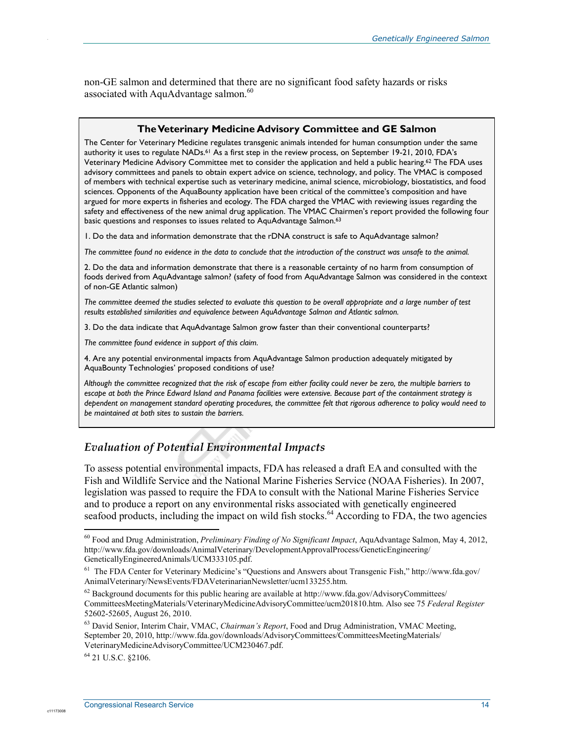non-GE salmon and determined that there are no significant food safety hazards or risks associated with AquAdvantage salmon.<sup>60</sup>

#### **The Veterinary Medicine Advisory Committee and GE Salmon**

The Center for Veterinary Medicine regulates transgenic animals intended for human consumption under the same authority it uses to regulate NADs.<sup>61</sup> As a first step in the review process, on September 19-21, 2010, FDA's Veterinary Medicine Advisory Committee met to consider the application and held a public hearing.<sup>62</sup> The FDA uses advisory committees and panels to obtain expert advice on science, technology, and policy. The VMAC is composed of members with technical expertise such as veterinary medicine, animal science, microbiology, biostatistics, and food sciences. Opponents of the AquaBounty application have been critical of the committee's composition and have argued for more experts in fisheries and ecology. The FDA charged the VMAC with reviewing issues regarding the safety and effectiveness of the new animal drug application. The VMAC Chairmen's report provided the following four basic questions and responses to issues related to AquAdvantage Salmon.<sup>63</sup>

1. Do the data and information demonstrate that the rDNA construct is safe to AquAdvantage salmon?

*The committee found no evidence in the data to conclude that the introduction of the construct was unsafe to the animal.* 

2. Do the data and information demonstrate that there is a reasonable certainty of no harm from consumption of foods derived from AquAdvantage salmon? (safety of food from AquAdvantage Salmon was considered in the context of non-GE Atlantic salmon)

*The committee deemed the studies selected to evaluate this question to be overall appropriate and a large number of test results established similarities and equivalence between AquAdvantage Salmon and Atlantic salmon.* 

3. Do the data indicate that AquAdvantage Salmon grow faster than their conventional counterparts?

*The committee found evidence in support of this claim.* 

4. Are any potential environmental impacts from AquAdvantage Salmon production adequately mitigated by AquaBounty Technologies' proposed conditions of use?

*Although the committee recognized that the risk of escape from either facility could never be zero, the multiple barriers to*  escape at both the Prince Edward Island and Panama facilities were extensive. Because part of the containment strategy is *dependent on management standard operating procedures, the committee felt that rigorous adherence to policy would need to be maintained at both sites to sustain the barriers.* 

#### *Evaluation of Potential Environmental Impacts*

To assess potential environmental impacts, FDA has released a draft EA and consulted with the Fish and Wildlife Service and the National Marine Fisheries Service (NOAA Fisheries). In 2007, legislation was passed to require the FDA to consult with the National Marine Fisheries Service and to produce a report on any environmental risks associated with genetically engineered seafood products, including the impact on wild fish stocks.<sup>64</sup> According to FDA, the two agencies

1

<sup>60</sup> Food and Drug Administration, *Preliminary Finding of No Significant Impact*, AquAdvantage Salmon, May 4, 2012, http://www.fda.gov/downloads/AnimalVeterinary/DevelopmentApprovalProcess/GeneticEngineering/ GeneticallyEngineeredAnimals/UCM333105.pdf.

<sup>61</sup> The FDA Center for Veterinary Medicine's "Questions and Answers about Transgenic Fish," http://www.fda.gov/ AnimalVeterinary/NewsEvents/FDAVeterinarianNewsletter/ucm133255.htm.

<sup>62</sup> Background documents for this public hearing are available at http://www.fda.gov/AdvisoryCommittees/ CommitteesMeetingMaterials/VeterinaryMedicineAdvisoryCommittee/ucm201810.htm. Also see 75 *Federal Register* 52602-52605, August 26, 2010.

<sup>63</sup> David Senior, Interim Chair, VMAC, *Chairman's Report*, Food and Drug Administration, VMAC Meeting, September 20, 2010, http://www.fda.gov/downloads/AdvisoryCommittees/CommitteesMeetingMaterials/ VeterinaryMedicineAdvisoryCommittee/UCM230467.pdf.

<sup>64 21</sup> U.S.C. §2106.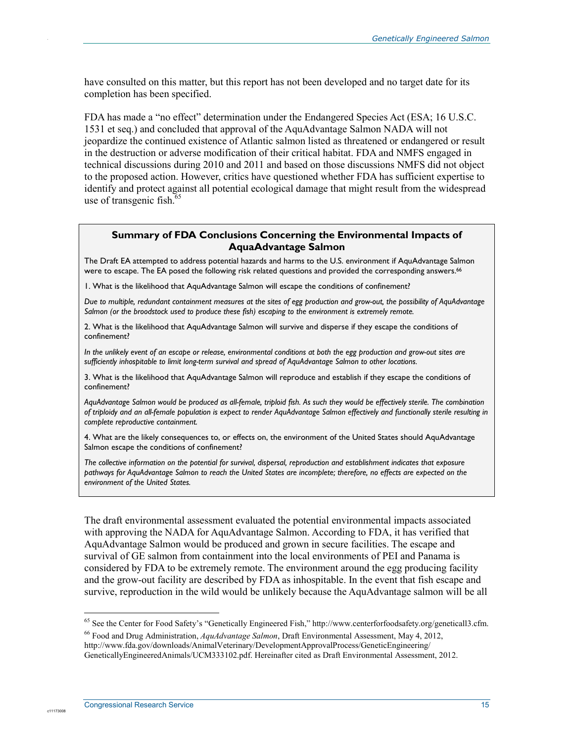have consulted on this matter, but this report has not been developed and no target date for its completion has been specified.

FDA has made a "no effect" determination under the Endangered Species Act (ESA; 16 U.S.C. 1531 et seq.) and concluded that approval of the AquAdvantage Salmon NADA will not jeopardize the continued existence of Atlantic salmon listed as threatened or endangered or result in the destruction or adverse modification of their critical habitat. FDA and NMFS engaged in technical discussions during 2010 and 2011 and based on those discussions NMFS did not object to the proposed action. However, critics have questioned whether FDA has sufficient expertise to identify and protect against all potential ecological damage that might result from the widespread use of transgenic fish. $65$ 

#### **Summary of FDA Conclusions Concerning the Environmental Impacts of AquaAdvantage Salmon**

The Draft EA attempted to address potential hazards and harms to the U.S. environment if AquAdvantage Salmon were to escape. The EA posed the following risk related questions and provided the corresponding answers.66

1. What is the likelihood that AquAdvantage Salmon will escape the conditions of confinement?

*Due to multiple, redundant containment measures at the sites of egg production and grow-out, the possibility of AquAdvantage Salmon (or the broodstock used to produce these fish) escaping to the environment is extremely remote.* 

2. What is the likelihood that AquAdvantage Salmon will survive and disperse if they escape the conditions of confinement?

*In the unlikely event of an escape or release, environmental conditions at both the egg production and grow-out sites are sufficiently inhospitable to limit long-term survival and spread of AquAdvantage Salmon to other locations.* 

3. What is the likelihood that AquAdvantage Salmon will reproduce and establish if they escape the conditions of confinement?

*AquAdvantage Salmon would be produced as all-female, triploid fish. As such they would be effectively sterile. The combination of triploidy and an all-female population is expect to render AquAdvantage Salmon effectively and functionally sterile resulting in complete reproductive containment.* 

4. What are the likely consequences to, or effects on, the environment of the United States should AquAdvantage Salmon escape the conditions of confinement?

*The collective information on the potential for survival, dispersal, reproduction and establishment indicates that exposure pathways for AquAdvantage Salmon to reach the United States are incomplete; therefore, no effects are expected on the environment of the United States.* 

The draft environmental assessment evaluated the potential environmental impacts associated with approving the NADA for AquAdvantage Salmon. According to FDA, it has verified that AquAdvantage Salmon would be produced and grown in secure facilities. The escape and survival of GE salmon from containment into the local environments of PEI and Panama is considered by FDA to be extremely remote. The environment around the egg producing facility and the grow-out facility are described by FDA as inhospitable. In the event that fish escape and survive, reproduction in the wild would be unlikely because the AquAdvantage salmon will be all

1

c11173008

<sup>65</sup> See the Center for Food Safety's "Genetically Engineered Fish," http://www.centerforfoodsafety.org/geneticall3.cfm.

<sup>66</sup> Food and Drug Administration, *AquAdvantage Salmon*, Draft Environmental Assessment, May 4, 2012, http://www.fda.gov/downloads/AnimalVeterinary/DevelopmentApprovalProcess/GeneticEngineering/ GeneticallyEngineeredAnimals/UCM333102.pdf. Hereinafter cited as Draft Environmental Assessment, 2012.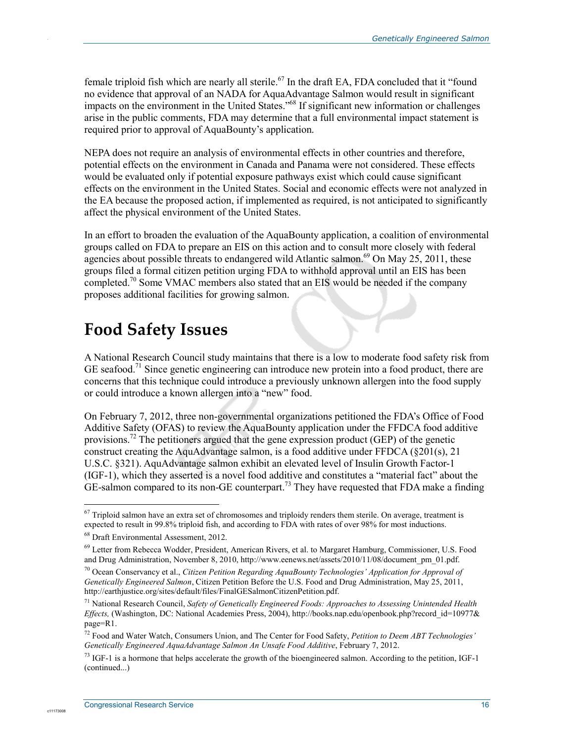female triploid fish which are nearly all sterile.<sup>67</sup> In the draft EA, FDA concluded that it "found no evidence that approval of an NADA for AquaAdvantage Salmon would result in significant impacts on the environment in the United States."68 If significant new information or challenges arise in the public comments, FDA may determine that a full environmental impact statement is required prior to approval of AquaBounty's application.

NEPA does not require an analysis of environmental effects in other countries and therefore, potential effects on the environment in Canada and Panama were not considered. These effects would be evaluated only if potential exposure pathways exist which could cause significant effects on the environment in the United States. Social and economic effects were not analyzed in the EA because the proposed action, if implemented as required, is not anticipated to significantly affect the physical environment of the United States.

In an effort to broaden the evaluation of the AquaBounty application, a coalition of environmental groups called on FDA to prepare an EIS on this action and to consult more closely with federal agencies about possible threats to endangered wild Atlantic salmon.<sup>69</sup> On May 25, 2011, these groups filed a formal citizen petition urging FDA to withhold approval until an EIS has been completed.<sup>70</sup> Some VMAC members also stated that an EIS would be needed if the company proposes additional facilities for growing salmon.

## **Food Safety Issues**

A National Research Council study maintains that there is a low to moderate food safety risk from GE seafood.<sup>71</sup> Since genetic engineering can introduce new protein into a food product, there are concerns that this technique could introduce a previously unknown allergen into the food supply or could introduce a known allergen into a "new" food.

On February 7, 2012, three non-governmental organizations petitioned the FDA's Office of Food Additive Safety (OFAS) to review the AquaBounty application under the FFDCA food additive provisions.<sup>72</sup> The petitioners argued that the gene expression product (GEP) of the genetic construct creating the AquAdvantage salmon, is a food additive under  $FFDCA$  ( $\S201(s)$ , 21 U.S.C. §321). AquAdvantage salmon exhibit an elevated level of Insulin Growth Factor-1 (IGF-1), which they asserted is a novel food additive and constitutes a "material fact" about the GE-salmon compared to its non-GE counterpart.<sup>73</sup> They have requested that FDA make a finding

<u>.</u>

c1117300

 $67$  Triploid salmon have an extra set of chromosomes and triploidy renders them sterile. On average, treatment is expected to result in 99.8% triploid fish, and according to FDA with rates of over 98% for most inductions.

<sup>68</sup> Draft Environmental Assessment, 2012.

<sup>69</sup> Letter from Rebecca Wodder, President, American Rivers, et al. to Margaret Hamburg, Commissioner, U.S. Food and Drug Administration, November 8, 2010, http://www.eenews.net/assets/2010/11/08/document\_pm\_01.pdf.

<sup>70</sup> Ocean Conservancy et al., *Citizen Petition Regarding AquaBounty Technologies' Application for Approval of Genetically Engineered Salmon*, Citizen Petition Before the U.S. Food and Drug Administration, May 25, 2011, http://earthjustice.org/sites/default/files/FinalGESalmonCitizenPetition.pdf.

<sup>71</sup> National Research Council, *Safety of Genetically Engineered Foods: Approaches to Assessing Unintended Health Effects,* (Washington, DC: National Academies Press, 2004), http://books.nap.edu/openbook.php?record\_id=10977& page=R1.

<sup>72</sup> Food and Water Watch, Consumers Union, and The Center for Food Safety, *Petition to Deem ABT Technologies' Genetically Engineered AquaAdvantage Salmon An Unsafe Food Additive*, February 7, 2012.

 $^{73}$  IGF-1 is a hormone that helps accelerate the growth of the bioengineered salmon. According to the petition, IGF-1 (continued...)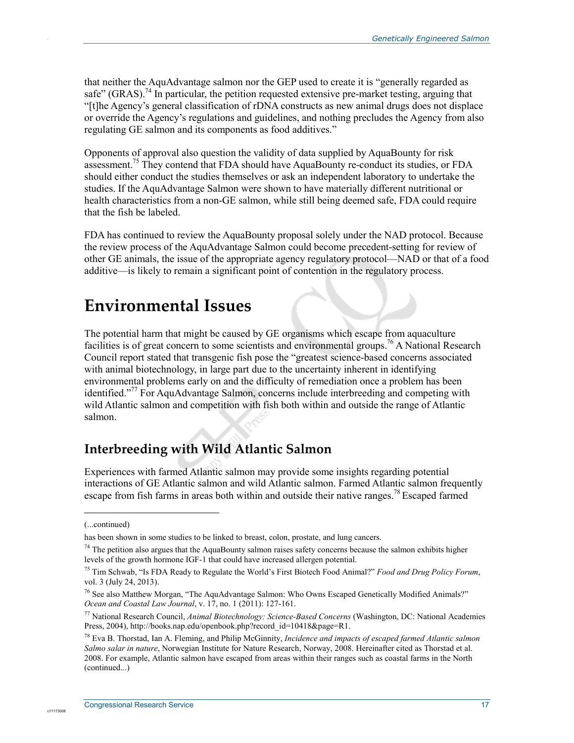that neither the AquAdvantage salmon nor the GEP used to create it is "generally regarded as safe" (GRAS).<sup>74</sup> In particular, the petition requested extensive pre-market testing, arguing that "[t]he Agency's general classification of rDNA constructs as new animal drugs does not displace or override the Agency's regulations and guidelines, and nothing precludes the Agency from also regulating GE salmon and its components as food additives."

Opponents of approval also question the validity of data supplied by AquaBounty for risk assessment.<sup>75</sup> They contend that FDA should have AquaBounty re-conduct its studies, or FDA should either conduct the studies themselves or ask an independent laboratory to undertake the studies. If the AquAdvantage Salmon were shown to have materially different nutritional or health characteristics from a non-GE salmon, while still being deemed safe, FDA could require that the fish be labeled.

FDA has continued to review the AquaBounty proposal solely under the NAD protocol. Because the review process of the AquAdvantage Salmon could become precedent-setting for review of other GE animals, the issue of the appropriate agency regulatory protocol—NAD or that of a food additive—is likely to remain a significant point of contention in the regulatory process.

## **Environmental Issues**

The potential harm that might be caused by GE organisms which escape from aquaculture facilities is of great concern to some scientists and environmental groups.<sup>76</sup> A National Research Council report stated that transgenic fish pose the "greatest science-based concerns associated with animal biotechnology, in large part due to the uncertainty inherent in identifying environmental problems early on and the difficulty of remediation once a problem has been identified."77 For AquAdvantage Salmon, concerns include interbreeding and competing with wild Atlantic salmon and competition with fish both within and outside the range of Atlantic salmon.

### **Interbreeding with Wild Atlantic Salmon**

Experiences with farmed Atlantic salmon may provide some insights regarding potential interactions of GE Atlantic salmon and wild Atlantic salmon. Farmed Atlantic salmon frequently escape from fish farms in areas both within and outside their native ranges.<sup>78</sup> Escaped farmed

1

c1117300

<sup>(...</sup>continued)

has been shown in some studies to be linked to breast, colon, prostate, and lung cancers.

 $74$  The petition also argues that the AquaBounty salmon raises safety concerns because the salmon exhibits higher levels of the growth hormone IGF-1 that could have increased allergen potential.

<sup>75</sup> Tim Schwab, "Is FDA Ready to Regulate the World's First Biotech Food Animal?" *Food and Drug Policy Forum*, vol. 3 (July 24, 2013).

 $^{76}$  See also Matthew Morgan, "The AquAdvantage Salmon: Who Owns Escaped Genetically Modified Animals?" *Ocean and Coastal Law Journal*, v. 17, no. 1 (2011): 127-161.

<sup>77</sup> National Research Council, *Animal Biotechnology: Science-Based Concerns* (Washington, DC: National Academies Press, 2004), http://books.nap.edu/openbook.php?record\_id=10418&page=R1.

<sup>78</sup> Eva B. Thorstad, Ian A. Fleming, and Philip McGinnity, *Incidence and impacts of escaped farmed Atlantic salmon Salmo salar in nature*, Norwegian Institute for Nature Research, Norway, 2008. Hereinafter cited as Thorstad et al. 2008. For example, Atlantic salmon have escaped from areas within their ranges such as coastal farms in the North (continued...)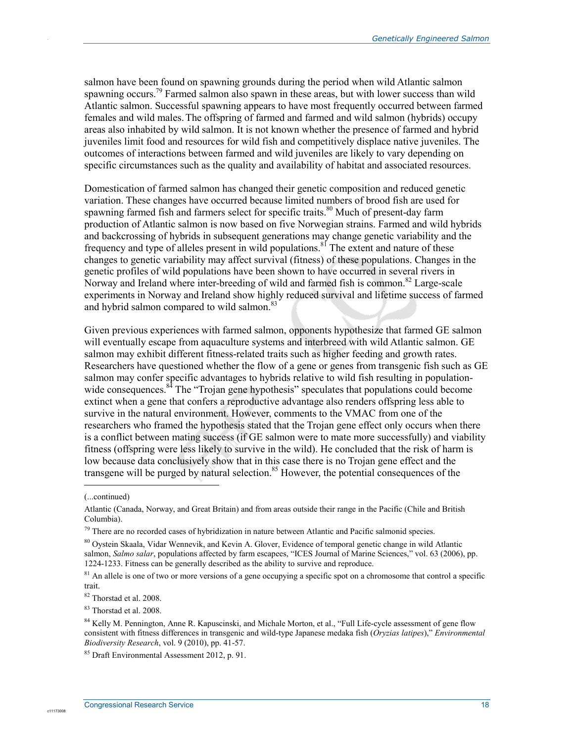salmon have been found on spawning grounds during the period when wild Atlantic salmon spawning occurs.<sup>79</sup> Farmed salmon also spawn in these areas, but with lower success than wild Atlantic salmon. Successful spawning appears to have most frequently occurred between farmed females and wild males.The offspring of farmed and farmed and wild salmon (hybrids) occupy areas also inhabited by wild salmon. It is not known whether the presence of farmed and hybrid juveniles limit food and resources for wild fish and competitively displace native juveniles. The outcomes of interactions between farmed and wild juveniles are likely to vary depending on specific circumstances such as the quality and availability of habitat and associated resources.

Domestication of farmed salmon has changed their genetic composition and reduced genetic variation. These changes have occurred because limited numbers of brood fish are used for spawning farmed fish and farmers select for specific traits.<sup>80</sup> Much of present-day farm production of Atlantic salmon is now based on five Norwegian strains. Farmed and wild hybrids and backcrossing of hybrids in subsequent generations may change genetic variability and the frequency and type of alleles present in wild populations.<sup>81</sup> The extent and nature of these changes to genetic variability may affect survival (fitness) of these populations. Changes in the genetic profiles of wild populations have been shown to have occurred in several rivers in Norway and Ireland where inter-breeding of wild and farmed fish is common.<sup>82</sup> Large-scale experiments in Norway and Ireland show highly reduced survival and lifetime success of farmed and hybrid salmon compared to wild salmon.<sup>83</sup>

Given previous experiences with farmed salmon, opponents hypothesize that farmed GE salmon will eventually escape from aquaculture systems and interbreed with wild Atlantic salmon. GE salmon may exhibit different fitness-related traits such as higher feeding and growth rates. Researchers have questioned whether the flow of a gene or genes from transgenic fish such as GE salmon may confer specific advantages to hybrids relative to wild fish resulting in populationwide consequences.<sup>84</sup> The "Trojan gene hypothesis" speculates that populations could become extinct when a gene that confers a reproductive advantage also renders offspring less able to survive in the natural environment. However, comments to the VMAC from one of the researchers who framed the hypothesis stated that the Trojan gene effect only occurs when there is a conflict between mating success (if GE salmon were to mate more successfully) and viability fitness (offspring were less likely to survive in the wild). He concluded that the risk of harm is low because data conclusively show that in this case there is no Trojan gene effect and the transgene will be purged by natural selection.<sup>85</sup> However, the potential consequences of the

1

c11173008

<sup>(...</sup>continued)

Atlantic (Canada, Norway, and Great Britain) and from areas outside their range in the Pacific (Chile and British Columbia).

<sup>&</sup>lt;sup>79</sup> There are no recorded cases of hybridization in nature between Atlantic and Pacific salmonid species.

<sup>80</sup> Oystein Skaala, Vidar Wennevik, and Kevin A. Glover, Evidence of temporal genetic change in wild Atlantic salmon, *Salmo salar*, populations affected by farm escapees, "ICES Journal of Marine Sciences," vol. 63 (2006), pp. 1224-1233. Fitness can be generally described as the ability to survive and reproduce.

 $81$  An allele is one of two or more versions of a gene occupying a specific spot on a chromosome that control a specific trait.

<sup>82</sup> Thorstad et al. 2008.

<sup>83</sup> Thorstad et al. 2008.

<sup>&</sup>lt;sup>84</sup> Kelly M. Pennington, Anne R. Kapuscinski, and Michale Morton, et al., "Full Life-cycle assessment of gene flow consistent with fitness differences in transgenic and wild-type Japanese medaka fish (*Oryzias latipes*)," *Environmental Biodiversity Research*, vol. 9 (2010), pp. 41-57.

<sup>85</sup> Draft Environmental Assessment 2012, p. 91.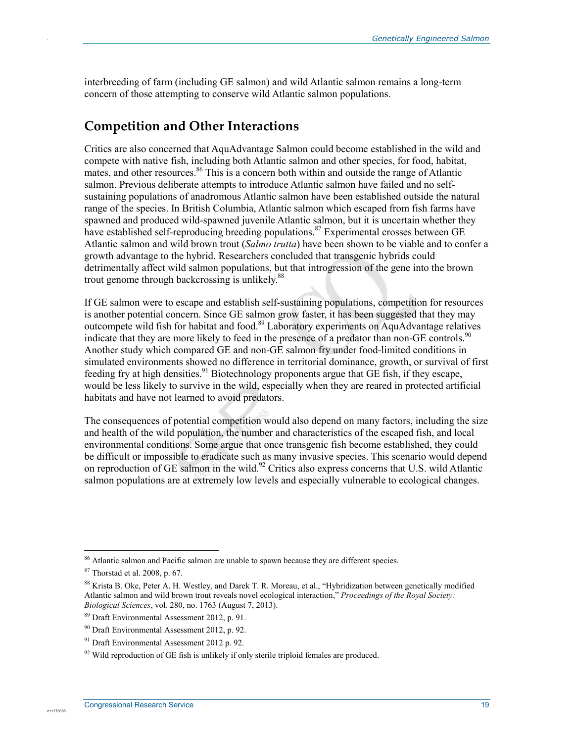interbreeding of farm (including GE salmon) and wild Atlantic salmon remains a long-term concern of those attempting to conserve wild Atlantic salmon populations.

### **Competition and Other Interactions**

Critics are also concerned that AquAdvantage Salmon could become established in the wild and compete with native fish, including both Atlantic salmon and other species, for food, habitat, mates, and other resources.<sup>86</sup> This is a concern both within and outside the range of Atlantic salmon. Previous deliberate attempts to introduce Atlantic salmon have failed and no selfsustaining populations of anadromous Atlantic salmon have been established outside the natural range of the species. In British Columbia, Atlantic salmon which escaped from fish farms have spawned and produced wild-spawned juvenile Atlantic salmon, but it is uncertain whether they have established self-reproducing breeding populations.<sup>87</sup> Experimental crosses between GE Atlantic salmon and wild brown trout (*Salmo trutta*) have been shown to be viable and to confer a growth advantage to the hybrid. Researchers concluded that transgenic hybrids could detrimentally affect wild salmon populations, but that introgression of the gene into the brown trout genome through backcrossing is unlikely.<sup>88</sup>

If GE salmon were to escape and establish self-sustaining populations, competition for resources is another potential concern. Since GE salmon grow faster, it has been suggested that they may outcompete wild fish for habitat and food.<sup>89</sup> Laboratory experiments on AquAdvantage relatives indicate that they are more likely to feed in the presence of a predator than non-GE controls.<sup>90</sup> Another study which compared GE and non-GE salmon fry under food-limited conditions in simulated environments showed no difference in territorial dominance, growth, or survival of first feeding fry at high densities.<sup>91</sup> Biotechnology proponents argue that GE fish, if they escape, would be less likely to survive in the wild, especially when they are reared in protected artificial habitats and have not learned to avoid predators.

The consequences of potential competition would also depend on many factors, including the size and health of the wild population, the number and characteristics of the escaped fish, and local environmental conditions. Some argue that once transgenic fish become established, they could be difficult or impossible to eradicate such as many invasive species. This scenario would depend on reproduction of GE salmon in the wild.<sup>92</sup> Critics also express concerns that U.S. wild Atlantic salmon populations are at extremely low levels and especially vulnerable to ecological changes.

1

c1117300

<sup>&</sup>lt;sup>86</sup> Atlantic salmon and Pacific salmon are unable to spawn because they are different species.

<sup>87</sup> Thorstad et al. 2008, p. 67.

<sup>&</sup>lt;sup>88</sup> Krista B. Oke, Peter A. H. Westley, and Darek T. R. Moreau, et al., "Hybridization between genetically modified Atlantic salmon and wild brown trout reveals novel ecological interaction," *Proceedings of the Royal Society: Biological Sciences*, vol. 280, no. 1763 (August 7, 2013).

<sup>89</sup> Draft Environmental Assessment 2012, p. 91.

<sup>90</sup> Draft Environmental Assessment 2012, p. 92.

 $91$  Draft Environmental Assessment 2012 p. 92.

 $92$  Wild reproduction of GE fish is unlikely if only sterile triploid females are produced.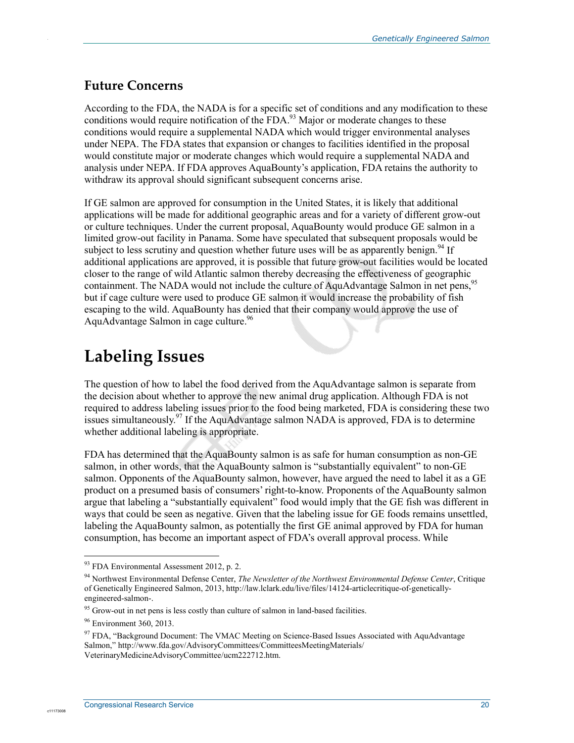### **Future Concerns**

.

According to the FDA, the NADA is for a specific set of conditions and any modification to these conditions would require notification of the  $FDA$ ,  $93$  Major or moderate changes to these conditions would require a supplemental NADA which would trigger environmental analyses under NEPA. The FDA states that expansion or changes to facilities identified in the proposal would constitute major or moderate changes which would require a supplemental NADA and analysis under NEPA. If FDA approves AquaBounty's application, FDA retains the authority to withdraw its approval should significant subsequent concerns arise.

If GE salmon are approved for consumption in the United States, it is likely that additional applications will be made for additional geographic areas and for a variety of different grow-out or culture techniques. Under the current proposal, AquaBounty would produce GE salmon in a limited grow-out facility in Panama. Some have speculated that subsequent proposals would be subject to less scrutiny and question whether future uses will be as apparently benign.<sup>94</sup> If additional applications are approved, it is possible that future grow-out facilities would be located closer to the range of wild Atlantic salmon thereby decreasing the effectiveness of geographic containment. The NADA would not include the culture of AquAdvantage Salmon in net pens,<sup>95</sup> but if cage culture were used to produce GE salmon it would increase the probability of fish escaping to the wild. AquaBounty has denied that their company would approve the use of AquAdvantage Salmon in cage culture.<sup>96</sup>

## **Labeling Issues**

The question of how to label the food derived from the AquAdvantage salmon is separate from the decision about whether to approve the new animal drug application. Although FDA is not required to address labeling issues prior to the food being marketed, FDA is considering these two issues simultaneously.<sup>97</sup> If the AquAdvantage salmon NADA is approved, FDA is to determine whether additional labeling is appropriate.

FDA has determined that the AquaBounty salmon is as safe for human consumption as non-GE salmon, in other words, that the AquaBounty salmon is "substantially equivalent" to non-GE salmon. Opponents of the AquaBounty salmon, however, have argued the need to label it as a GE product on a presumed basis of consumers' right-to-know. Proponents of the AquaBounty salmon argue that labeling a "substantially equivalent" food would imply that the GE fish was different in ways that could be seen as negative. Given that the labeling issue for GE foods remains unsettled, labeling the AquaBounty salmon, as potentially the first GE animal approved by FDA for human consumption, has become an important aspect of FDA's overall approval process. While

1

<sup>&</sup>lt;sup>93</sup> FDA Environmental Assessment 2012, p. 2.

<sup>94</sup> Northwest Environmental Defense Center, *The Newsletter of the Northwest Environmental Defense Center*, Critique of Genetically Engineered Salmon, 2013, http://law.lclark.edu/live/files/14124-articlecritique-of-geneticallyengineered-salmon-.

<sup>&</sup>lt;sup>95</sup> Grow-out in net pens is less costly than culture of salmon in land-based facilities.

<sup>96</sup> Environment 360, 2013.

<sup>97</sup> FDA, "Background Document: The VMAC Meeting on Science-Based Issues Associated with AquAdvantage Salmon," http://www.fda.gov/AdvisoryCommittees/CommitteesMeetingMaterials/ VeterinaryMedicineAdvisoryCommittee/ucm222712.htm.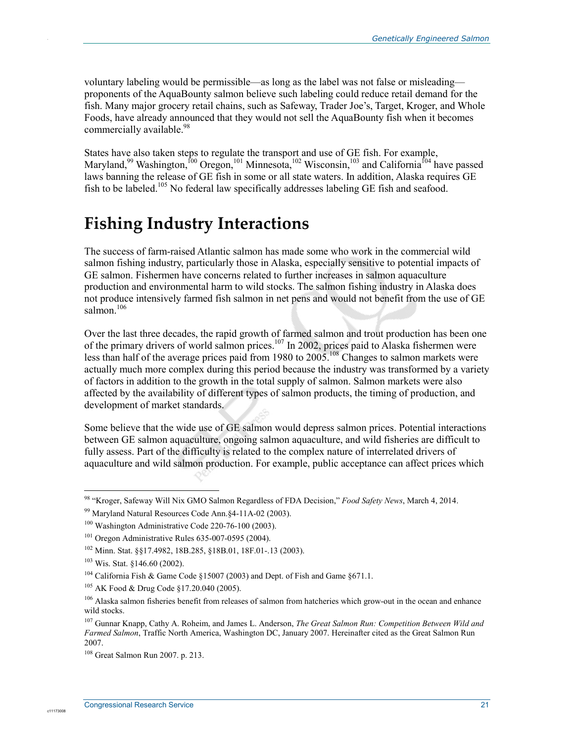voluntary labeling would be permissible—as long as the label was not false or misleading proponents of the AquaBounty salmon believe such labeling could reduce retail demand for the fish. Many major grocery retail chains, such as Safeway, Trader Joe's, Target, Kroger, and Whole Foods, have already announced that they would not sell the AquaBounty fish when it becomes commercially available. $98$ 

States have also taken steps to regulate the transport and use of GE fish. For example, Maryland,<sup>99</sup> Washington,<sup>100</sup> Oregon,<sup>101</sup> Minnesota,<sup>102</sup> Wisconsin,<sup>103</sup> and California<sup>104</sup> have passed laws banning the release of GE fish in some or all state waters. In addition, Alaska requires GE fish to be labeled.<sup>105</sup> No federal law specifically addresses labeling GE fish and seafood.

## **Fishing Industry Interactions**

The success of farm-raised Atlantic salmon has made some who work in the commercial wild salmon fishing industry, particularly those in Alaska, especially sensitive to potential impacts of GE salmon. Fishermen have concerns related to further increases in salmon aquaculture production and environmental harm to wild stocks. The salmon fishing industry in Alaska does not produce intensively farmed fish salmon in net pens and would not benefit from the use of GE salmon. $106$ 

Over the last three decades, the rapid growth of farmed salmon and trout production has been one of the primary drivers of world salmon prices.<sup>107</sup> In 2002, prices paid to Alaska fishermen were less than half of the average prices paid from 1980 to 2005.<sup>108</sup> Changes to salmon markets were actually much more complex during this period because the industry was transformed by a variety of factors in addition to the growth in the total supply of salmon. Salmon markets were also affected by the availability of different types of salmon products, the timing of production, and development of market standards.

Some believe that the wide use of GE salmon would depress salmon prices. Potential interactions between GE salmon aquaculture, ongoing salmon aquaculture, and wild fisheries are difficult to fully assess. Part of the difficulty is related to the complex nature of interrelated drivers of aquaculture and wild salmon production. For example, public acceptance can affect prices which

<u>.</u>

c1117300

<sup>98 &</sup>quot;Kroger, Safeway Will Nix GMO Salmon Regardless of FDA Decision," *Food Safety News*, March 4, 2014.

<sup>99</sup> Maryland Natural Resources Code Ann.§4-11A-02 (2003).

<sup>&</sup>lt;sup>100</sup> Washington Administrative Code 220-76-100 (2003).

 $101$  Oregon Administrative Rules 635-007-0595 (2004).

<sup>102</sup> Minn. Stat. §§17.4982, 18B.285, §18B.01, 18F.01-.13 (2003).

<sup>103</sup> Wis. Stat. §146.60 (2002).

<sup>&</sup>lt;sup>104</sup> California Fish & Game Code §15007 (2003) and Dept. of Fish and Game §671.1.

<sup>105</sup> AK Food & Drug Code §17.20.040 (2005).

<sup>&</sup>lt;sup>106</sup> Alaska salmon fisheries benefit from releases of salmon from hatcheries which grow-out in the ocean and enhance wild stocks.

<sup>107</sup> Gunnar Knapp, Cathy A. Roheim, and James L. Anderson, *The Great Salmon Run: Competition Between Wild and Farmed Salmon*, Traffic North America, Washington DC, January 2007. Hereinafter cited as the Great Salmon Run 2007.

<sup>108</sup> Great Salmon Run 2007. p. 213.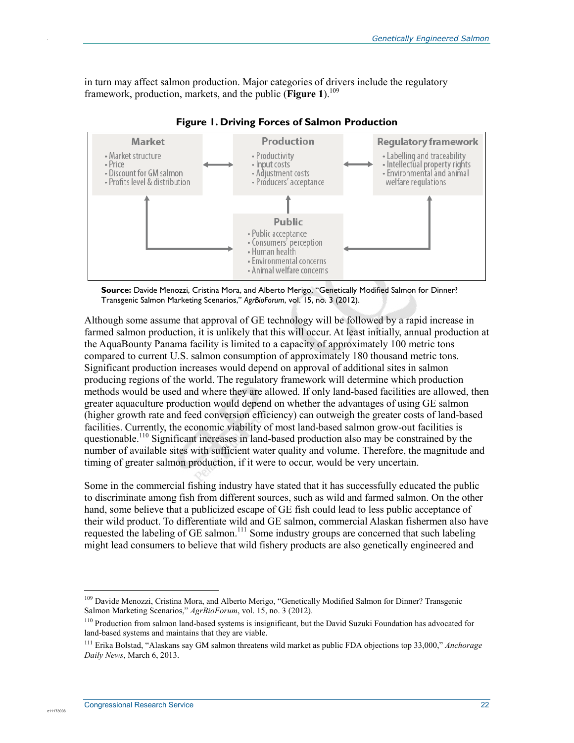in turn may affect salmon production. Major categories of drivers include the regulatory framework, production, markets, and the public (**Figure 1**).109



**Figure 1. Driving Forces of Salmon Production** 

Source: Davide Menozzi, Cristina Mora, and Alberto Merigo, "Genetically Modified Salmon for Dinner? Transgenic Salmon Marketing Scenarios," *AgrBioForum*, vol. 15, no. 3 (2012).

Although some assume that approval of GE technology will be followed by a rapid increase in farmed salmon production, it is unlikely that this will occur. At least initially, annual production at the AquaBounty Panama facility is limited to a capacity of approximately 100 metric tons compared to current U.S. salmon consumption of approximately 180 thousand metric tons. Significant production increases would depend on approval of additional sites in salmon producing regions of the world. The regulatory framework will determine which production methods would be used and where they are allowed. If only land-based facilities are allowed, then greater aquaculture production would depend on whether the advantages of using GE salmon (higher growth rate and feed conversion efficiency) can outweigh the greater costs of land-based facilities. Currently, the economic viability of most land-based salmon grow-out facilities is questionable.<sup>110</sup> Significant increases in land-based production also may be constrained by the number of available sites with sufficient water quality and volume. Therefore, the magnitude and timing of greater salmon production, if it were to occur, would be very uncertain.

Some in the commercial fishing industry have stated that it has successfully educated the public to discriminate among fish from different sources, such as wild and farmed salmon. On the other hand, some believe that a publicized escape of GE fish could lead to less public acceptance of their wild product. To differentiate wild and GE salmon, commercial Alaskan fishermen also have requested the labeling of GE salmon.<sup>111</sup> Some industry groups are concerned that such labeling might lead consumers to believe that wild fishery products are also genetically engineered and

1

c1117300

<sup>&</sup>lt;sup>109</sup> Davide Menozzi, Cristina Mora, and Alberto Merigo, "Genetically Modified Salmon for Dinner? Transgenic Salmon Marketing Scenarios," *AgrBioForum*, vol. 15, no. 3 (2012).

<sup>&</sup>lt;sup>110</sup> Production from salmon land-based systems is insignificant, but the David Suzuki Foundation has advocated for land-based systems and maintains that they are viable.

<sup>111</sup> Erika Bolstad, "Alaskans say GM salmon threatens wild market as public FDA objections top 33,000," *Anchorage Daily News*, March 6, 2013.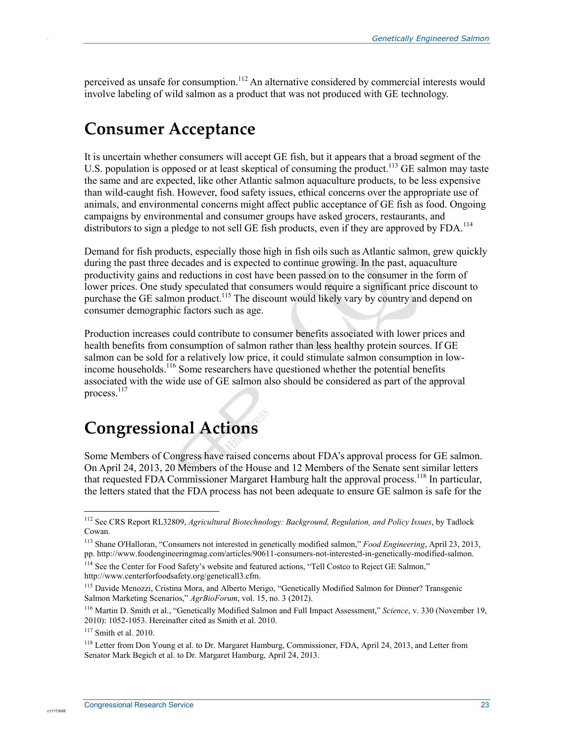perceived as unsafe for consumption.<sup>112</sup> An alternative considered by commercial interests would involve labeling of wild salmon as a product that was not produced with GE technology.

## **Consumer Acceptance**

It is uncertain whether consumers will accept GE fish, but it appears that a broad segment of the U.S. population is opposed or at least skeptical of consuming the product.<sup>113</sup> GE salmon may taste the same and are expected, like other Atlantic salmon aquaculture products, to be less expensive than wild-caught fish. However, food safety issues, ethical concerns over the appropriate use of animals, and environmental concerns might affect public acceptance of GE fish as food. Ongoing campaigns by environmental and consumer groups have asked grocers, restaurants, and distributors to sign a pledge to not sell GE fish products, even if they are approved by FDA.<sup>114</sup>

Demand for fish products, especially those high in fish oils such as Atlantic salmon, grew quickly during the past three decades and is expected to continue growing. In the past, aquaculture productivity gains and reductions in cost have been passed on to the consumer in the form of lower prices. One study speculated that consumers would require a significant price discount to purchase the GE salmon product.<sup>115</sup> The discount would likely vary by country and depend on consumer demographic factors such as age.

Production increases could contribute to consumer benefits associated with lower prices and health benefits from consumption of salmon rather than less healthy protein sources. If GE salmon can be sold for a relatively low price, it could stimulate salmon consumption in lowincome households.<sup>116</sup> Some researchers have questioned whether the potential benefits associated with the wide use of GE salmon also should be considered as part of the approval process.<sup>117</sup>

## **Congressional Actions**

Some Members of Congress have raised concerns about FDA's approval process for GE salmon. On April 24, 2013, 20 Members of the House and 12 Members of the Senate sent similar letters that requested FDA Commissioner Margaret Hamburg halt the approval process.<sup>118</sup> In particular, the letters stated that the FDA process has not been adequate to ensure GE salmon is safe for the

<u>.</u>

c1117300

<sup>112</sup> See CRS Report RL32809, *Agricultural Biotechnology: Background, Regulation, and Policy Issues*, by Tadlock Cowan.

<sup>113</sup> Shane O'Halloran, "Consumers not interested in genetically modified salmon," *Food Engineering*, April 23, 2013, pp. http://www.foodengineeringmag.com/articles/90611-consumers-not-interested-in-genetically-modified-salmon.

<sup>&</sup>lt;sup>114</sup> See the Center for Food Safety's website and featured actions, "Tell Costco to Reject GE Salmon," http://www.centerforfoodsafety.org/geneticall3.cfm.

<sup>&</sup>lt;sup>115</sup> Davide Menozzi, Cristina Mora, and Alberto Merigo, "Genetically Modified Salmon for Dinner? Transgenic Salmon Marketing Scenarios," *AgrBioForum*, vol. 15, no. 3 (2012).

<sup>116</sup> Martin D. Smith et al., "Genetically Modified Salmon and Full Impact Assessment," *Science*, v. 330 (November 19, 2010): 1052-1053. Hereinafter cited as Smith et al. 2010.

<sup>117</sup> Smith et al. 2010.

<sup>118</sup> Letter from Don Young et al. to Dr. Margaret Hamburg, Commissioner, FDA, April 24, 2013, and Letter from Senator Mark Begich et al. to Dr. Margaret Hamburg, April 24, 2013.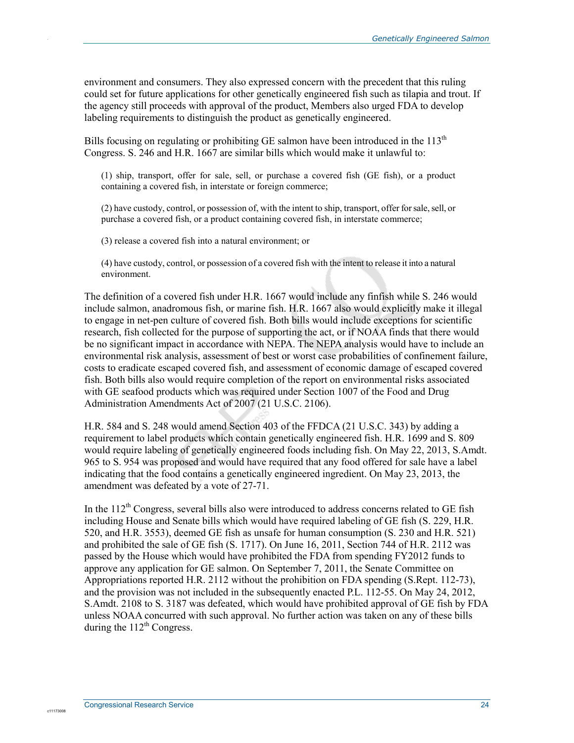environment and consumers. They also expressed concern with the precedent that this ruling could set for future applications for other genetically engineered fish such as tilapia and trout. If the agency still proceeds with approval of the product, Members also urged FDA to develop labeling requirements to distinguish the product as genetically engineered.

Bills focusing on regulating or prohibiting GE salmon have been introduced in the  $113<sup>th</sup>$ Congress. S. 246 and H.R. 1667 are similar bills which would make it unlawful to:

(1) ship, transport, offer for sale, sell, or purchase a covered fish (GE fish), or a product containing a covered fish, in interstate or foreign commerce;

(2) have custody, control, or possession of, with the intent to ship, transport, offer for sale, sell, or purchase a covered fish, or a product containing covered fish, in interstate commerce;

(3) release a covered fish into a natural environment; or

.

(4) have custody, control, or possession of a covered fish with the intent to release it into a natural environment.

The definition of a covered fish under H.R. 1667 would include any finfish while S. 246 would include salmon, anadromous fish, or marine fish. H.R. 1667 also would explicitly make it illegal to engage in net-pen culture of covered fish. Both bills would include exceptions for scientific research, fish collected for the purpose of supporting the act, or if NOAA finds that there would be no significant impact in accordance with NEPA. The NEPA analysis would have to include an environmental risk analysis, assessment of best or worst case probabilities of confinement failure, costs to eradicate escaped covered fish, and assessment of economic damage of escaped covered fish. Both bills also would require completion of the report on environmental risks associated with GE seafood products which was required under Section 1007 of the Food and Drug Administration Amendments Act of 2007 (21 U.S.C. 2106).

H.R. 584 and S. 248 would amend Section 403 of the FFDCA (21 U.S.C. 343) by adding a requirement to label products which contain genetically engineered fish. H.R. 1699 and S. 809 would require labeling of genetically engineered foods including fish. On May 22, 2013, S.Amdt. 965 to S. 954 was proposed and would have required that any food offered for sale have a label indicating that the food contains a genetically engineered ingredient. On May 23, 2013, the amendment was defeated by a vote of 27-71.

In the  $112<sup>th</sup>$  Congress, several bills also were introduced to address concerns related to GE fish including House and Senate bills which would have required labeling of GE fish (S. 229, H.R. 520, and H.R. 3553), deemed GE fish as unsafe for human consumption (S. 230 and H.R. 521) and prohibited the sale of GE fish (S. 1717). On June 16, 2011, Section 744 of H.R. 2112 was passed by the House which would have prohibited the FDA from spending FY2012 funds to approve any application for GE salmon. On September 7, 2011, the Senate Committee on Appropriations reported H.R. 2112 without the prohibition on FDA spending (S.Rept. 112-73), and the provision was not included in the subsequently enacted P.L. 112-55. On May 24, 2012, S.Amdt. 2108 to S. 3187 was defeated, which would have prohibited approval of GE fish by FDA unless NOAA concurred with such approval. No further action was taken on any of these bills during the  $112<sup>th</sup>$  Congress.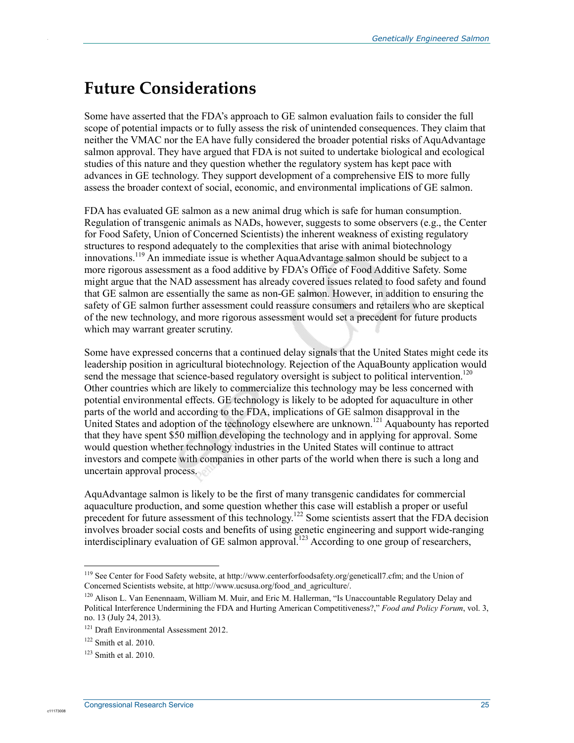## **Future Considerations**

.

Some have asserted that the FDA's approach to GE salmon evaluation fails to consider the full scope of potential impacts or to fully assess the risk of unintended consequences. They claim that neither the VMAC nor the EA have fully considered the broader potential risks of AquAdvantage salmon approval. They have argued that FDA is not suited to undertake biological and ecological studies of this nature and they question whether the regulatory system has kept pace with advances in GE technology. They support development of a comprehensive EIS to more fully assess the broader context of social, economic, and environmental implications of GE salmon.

FDA has evaluated GE salmon as a new animal drug which is safe for human consumption. Regulation of transgenic animals as NADs, however, suggests to some observers (e.g., the Center for Food Safety, Union of Concerned Scientists) the inherent weakness of existing regulatory structures to respond adequately to the complexities that arise with animal biotechnology innovations.<sup>119</sup> An immediate issue is whether AquaAdvantage salmon should be subject to a more rigorous assessment as a food additive by FDA's Office of Food Additive Safety. Some might argue that the NAD assessment has already covered issues related to food safety and found that GE salmon are essentially the same as non-GE salmon. However, in addition to ensuring the safety of GE salmon further assessment could reassure consumers and retailers who are skeptical of the new technology, and more rigorous assessment would set a precedent for future products which may warrant greater scrutiny.

Some have expressed concerns that a continued delay signals that the United States might cede its leadership position in agricultural biotechnology. Rejection of the AquaBounty application would send the message that science-based regulatory oversight is subject to political intervention.<sup>120</sup> Other countries which are likely to commercialize this technology may be less concerned with potential environmental effects. GE technology is likely to be adopted for aquaculture in other parts of the world and according to the FDA, implications of GE salmon disapproval in the United States and adoption of the technology elsewhere are unknown.<sup>121</sup> Aquabounty has reported that they have spent \$50 million developing the technology and in applying for approval. Some would question whether technology industries in the United States will continue to attract investors and compete with companies in other parts of the world when there is such a long and uncertain approval process.

AquAdvantage salmon is likely to be the first of many transgenic candidates for commercial aquaculture production, and some question whether this case will establish a proper or useful precedent for future assessment of this technology.<sup>122</sup> Some scientists assert that the FDA decision involves broader social costs and benefits of using genetic engineering and support wide-ranging interdisciplinary evaluation of GE salmon approval.<sup>123</sup> According to one group of researchers,

1

<sup>&</sup>lt;sup>119</sup> See Center for Food Safety website, at http://www.centerforfoodsafety.org/geneticall7.cfm; and the Union of Concerned Scientists website, at http://www.ucsusa.org/food\_and\_agriculture/.

<sup>&</sup>lt;sup>120</sup> Alison L. Van Eenennaam, William M. Muir, and Eric M. Hallerman, "Is Unaccountable Regulatory Delay and Political Interference Undermining the FDA and Hurting American Competitiveness?," *Food and Policy Forum*, vol. 3, no. 13 (July 24, 2013).

<sup>&</sup>lt;sup>121</sup> Draft Environmental Assessment 2012.

 $122$  Smith et al. 2010.

 $123$  Smith et al. 2010.